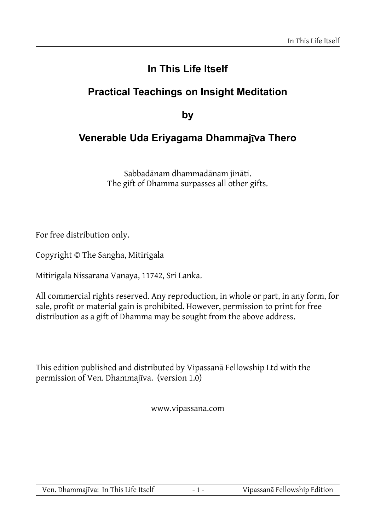# **In This Life Itself**

## **Practical Teachings on Insight Meditation**

**by**

## **Venerable Uda Eriyagama Dhammaj**ī**va Thero**

Sabbadānam dhammadānam jināti. The gift of Dhamma surpasses all other gifts.

For free distribution only.

Copyright © The Sangha, Mitirigala

Mitirigala Nissarana Vanaya, 11742, Sri Lanka.

All commercial rights reserved. Any reproduction, in whole or part, in any form, for sale, profit or material gain is prohibited. However, permission to print for free distribution as a gift of Dhamma may be sought from the above address.

This edition published and distributed by Vipassanā Fellowship Ltd with the permission of Ven. Dhammajīva. (version 1.0)

www.vipassana.com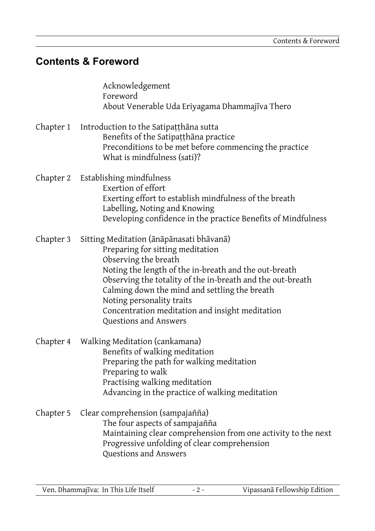## **Contents & Foreword**

|           | Acknowledgement<br>Foreword<br>About Venerable Uda Eriyagama Dhammajīva Thero                                                                                                                                                                                                                                                                                                         |
|-----------|---------------------------------------------------------------------------------------------------------------------------------------------------------------------------------------------------------------------------------------------------------------------------------------------------------------------------------------------------------------------------------------|
| Chapter 1 | Introduction to the Satipațțhana sutta<br>Benefits of the Satipațțhana practice<br>Preconditions to be met before commencing the practice<br>What is mindfulness (sati)?                                                                                                                                                                                                              |
| Chapter 2 | Establishing mindfulness<br>Exertion of effort<br>Exerting effort to establish mindfulness of the breath<br>Labelling, Noting and Knowing<br>Developing confidence in the practice Benefits of Mindfulness                                                                                                                                                                            |
| Chapter 3 | Sitting Meditation (ānāpānasati bhāvanā)<br>Preparing for sitting meditation<br>Observing the breath<br>Noting the length of the in-breath and the out-breath<br>Observing the totality of the in-breath and the out-breath<br>Calming down the mind and settling the breath<br>Noting personality traits<br>Concentration meditation and insight meditation<br>Questions and Answers |
| Chapter 4 | Walking Meditation (cankamana)<br>Benefits of walking meditation<br>Preparing the path for walking meditation<br>Preparing to walk<br>Practising walking meditation<br>Advancing in the practice of walking meditation                                                                                                                                                                |
| Chapter 5 | Clear comprehension (sampajañña)<br>The four aspects of sampajañña<br>Maintaining clear comprehension from one activity to the next<br>Progressive unfolding of clear comprehension<br>Questions and Answers                                                                                                                                                                          |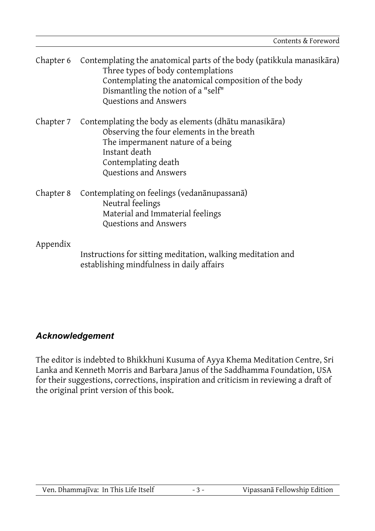| Chapter 6 | Contemplating the anatomical parts of the body (patikkula manasikara)<br>Three types of body contemplations<br>Contemplating the anatomical composition of the body<br>Dismantling the notion of a "self"<br>Questions and Answers |
|-----------|------------------------------------------------------------------------------------------------------------------------------------------------------------------------------------------------------------------------------------|
| Chapter 7 | Contemplating the body as elements (dhātu manasikāra)<br>Observing the four elements in the breath<br>The impermanent nature of a being<br>Instant death<br>Contemplating death<br>Questions and Answers                           |
| Chapter 8 | Contemplating on feelings (vedanānupassanā)<br>Neutral feelings<br>Material and Immaterial feelings<br>Questions and Answers                                                                                                       |
| Appendix  | Instructions for sitting meditation, walking meditation and<br>establishing mindfulness in daily affairs                                                                                                                           |

#### *Acknowledgement*

The editor is indebted to Bhikkhuni Kusuma of Ayya Khema Meditation Centre, Sri Lanka and Kenneth Morris and Barbara Janus of the Saddhamma Foundation, USA for their suggestions, corrections, inspiration and criticism in reviewing a draft of the original print version of this book.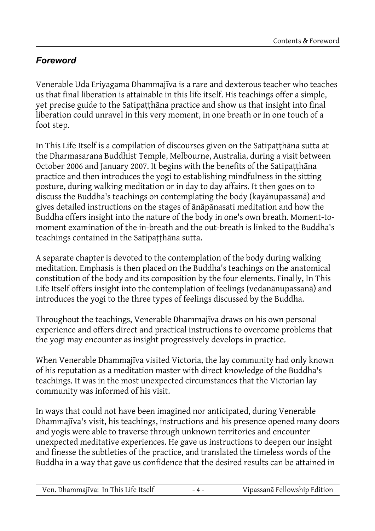## *Foreword*

Venerable Uda Eriyagama Dhammajīva is a rare and dexterous teacher who teaches us that final liberation is attainable in this life itself. His teachings offer a simple, yet precise guide to the Satipaṭṭhāna practice and show us that insight into final liberation could unravel in this very moment, in one breath or in one touch of a foot step.

In This Life Itself is a compilation of discourses given on the Satipatthana sutta at the Dharmasarana Buddhist Temple, Melbourne, Australia, during a visit between October 2006 and January 2007. It begins with the benefits of the Satipatthana practice and then introduces the yogi to establishing mindfulness in the sitting posture, during walking meditation or in day to day affairs. It then goes on to discuss the Buddha's teachings on contemplating the body (kayānupassanā) and gives detailed instructions on the stages of ānāpānasati meditation and how the Buddha offers insight into the nature of the body in one's own breath. Moment-tomoment examination of the in-breath and the out-breath is linked to the Buddha's teachings contained in the Satipatthana sutta.

A separate chapter is devoted to the contemplation of the body during walking meditation. Emphasis is then placed on the Buddha's teachings on the anatomical constitution of the body and its composition by the four elements. Finally, In This Life Itself offers insight into the contemplation of feelings (vedanānupassanā) and introduces the yogi to the three types of feelings discussed by the Buddha.

Throughout the teachings, Venerable Dhammajīva draws on his own personal experience and offers direct and practical instructions to overcome problems that the yogi may encounter as insight progressively develops in practice.

When Venerable Dhammajīva visited Victoria, the lay community had only known of his reputation as a meditation master with direct knowledge of the Buddha's teachings. It was in the most unexpected circumstances that the Victorian lay community was informed of his visit.

In ways that could not have been imagined nor anticipated, during Venerable Dhammajīva's visit, his teachings, instructions and his presence opened many doors and yogis were able to traverse through unknown territories and encounter unexpected meditative experiences. He gave us instructions to deepen our insight and finesse the subtleties of the practice, and translated the timeless words of the Buddha in a way that gave us confidence that the desired results can be attained in

| Ven. Dhammajīva: In This Life Itself<br>$-4-$ | Vipassanā Fellowship Edition |
|-----------------------------------------------|------------------------------|
|-----------------------------------------------|------------------------------|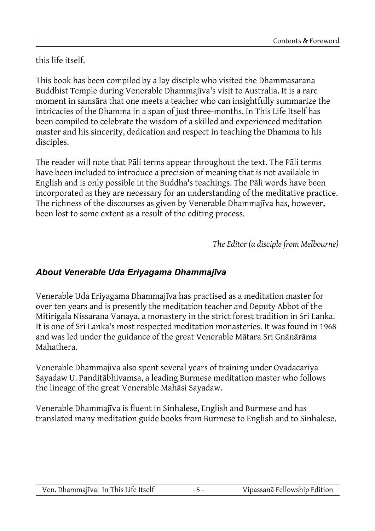this life itself.

This book has been compiled by a lay disciple who visited the Dhammasarana Buddhist Temple during Venerable Dhammajīva's visit to Australia. It is a rare moment in samsāra that one meets a teacher who can insightfully summarize the intricacies of the Dhamma in a span of just three-months. In This Life Itself has been compiled to celebrate the wisdom of a skilled and experienced meditation master and his sincerity, dedication and respect in teaching the Dhamma to his disciples.

The reader will note that Pāli terms appear throughout the text. The Pāli terms have been included to introduce a precision of meaning that is not available in English and is only possible in the Buddha's teachings. The Pāli words have been incorporated as they are necessary for an understanding of the meditative practice. The richness of the discourses as given by Venerable Dhammajīva has, however, been lost to some extent as a result of the editing process.

*The Editor (a disciple from Melbourne)*

## *About Venerable Uda Eriyagama Dhammajīva*

Venerable Uda Eriyagama Dhammajīva has practised as a meditation master for over ten years and is presently the meditation teacher and Deputy Abbot of the Mitirigala Nissarana Vanaya, a monastery in the strict forest tradition in Sri Lanka. It is one of Sri Lanka's most respected meditation monasteries. It was found in 1968 and was led under the guidance of the great Venerable Mātara Sri Gnānārāma Mahathera.

Venerable Dhammajīva also spent several years of training under Ovadacariya Sayadaw U. Panditābhivamsa, a leading Burmese meditation master who follows the lineage of the great Venerable Mahāsi Sayadaw.

Venerable Dhammajīva is fluent in Sinhalese, English and Burmese and has translated many meditation guide books from Burmese to English and to Sinhalese.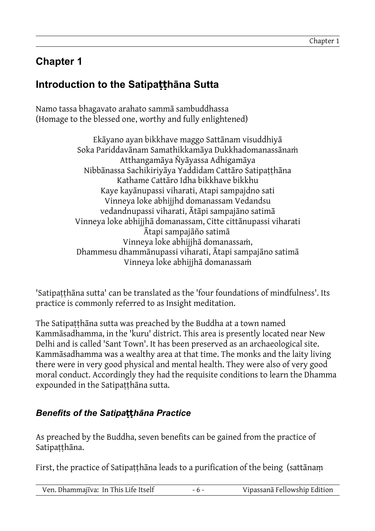## **Chapter 1**

## **Introduction to the Satipatthana Sutta**

Namo tassa bhagavato arahato sammā sambuddhassa (Homage to the blessed one, worthy and fully enlightened)

> Ekāyano ayan bikkhave maggo Sattānam visuddhiyā Soka Pariddavānam Samathikkamāya Dukkhadomanassānaṁ Atthangamāya Ñyāyassa Adhigamāya Nibbānassa Sachikiriyāya Yaddidam Cattāro Satipaṭṭhāna Kathame Cattāro Idha bikkhave bikkhu Kaye kayānupassi viharati, Atapi sampajdno sati Vinneya loke abhijjhd domanassam Vedandsu vedandnupassi viharati, Ātāpi sampajāno satimā Vinneya loke abhijjhā domanassam, Citte cittānupassi viharati Ātapi sampajāño satimā Vinneya loke abhijjhā domanassaṁ, Dhammesu dhammānupassi viharati, Ātapi sampajāno satimā Vinneya loke abhijjhā domanassaṁ

'Satipaṭṭhāna sutta' can be translated as the 'four foundations of mindfulness'. Its practice is commonly referred to as Insight meditation.

The Satipaṭṭhāna sutta was preached by the Buddha at a town named Kammāsadhamma, in the 'kuru' district. This area is presently located near New Delhi and is called 'Sant Town'. It has been preserved as an archaeological site. Kammāsadhamma was a wealthy area at that time. The monks and the laity living there were in very good physical and mental health. They were also of very good moral conduct. Accordingly they had the requisite conditions to learn the Dhamma expounded in the Satipaṭṭhāna sutta.

#### **Benefits of the Satipatthāna Practice**

As preached by the Buddha, seven benefits can be gained from the practice of Satipaṭṭhāna.

First, the practice of Satipaṭṭhāna leads to a purification of the being (sattānaṃ

| Ven. Dhammajīva: In This Life Itself | $-6 -$ | Vipassanā Fellowship Edition |
|--------------------------------------|--------|------------------------------|
|--------------------------------------|--------|------------------------------|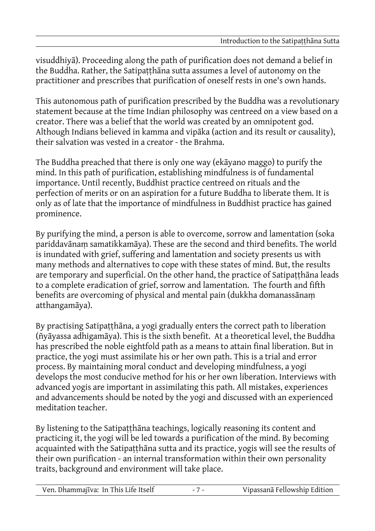visuddhiyā). Proceeding along the path of purification does not demand a belief in the Buddha. Rather, the Satipaṭṭhāna sutta assumes a level of autonomy on the practitioner and prescribes that purification of oneself rests in one's own hands.

This autonomous path of purification prescribed by the Buddha was a revolutionary statement because at the time Indian philosophy was centreed on a view based on a creator. There was a belief that the world was created by an omnipotent god. Although Indians believed in kamma and vipāka (action and its result or causality), their salvation was vested in a creator - the Brahma.

The Buddha preached that there is only one way (ekāyano maggo) to purify the mind. In this path of purification, establishing mindfulness is of fundamental importance. Until recently, Buddhist practice centreed on rituals and the perfection of merits or on an aspiration for a future Buddha to liberate them. It is only as of late that the importance of mindfulness in Buddhist practice has gained prominence.

By purifying the mind, a person is able to overcome, sorrow and lamentation (soka pariddavānaṃ samatikkamāya). These are the second and third benefits. The world is inundated with grief, suffering and lamentation and society presents us with many methods and alternatives to cope with these states of mind. But, the results are temporary and superficial. On the other hand, the practice of Satipatthana leads to a complete eradication of grief, sorrow and lamentation. The fourth and fifth benefits are overcoming of physical and mental pain (dukkha domanassānaṃ atthangamāya).

By practising Satipaṭṭhāna, a yogi gradually enters the correct path to liberation (ñyāyassa adhigamāya). This is the sixth benefit. At a theoretical level, the Buddha has prescribed the noble eightfold path as a means to attain final liberation. But in practice, the yogi must assimilate his or her own path. This is a trial and error process. By maintaining moral conduct and developing mindfulness, a yogi develops the most conducive method for his or her own liberation. Interviews with advanced yogis are important in assimilating this path. All mistakes, experiences and advancements should be noted by the yogi and discussed with an experienced meditation teacher.

By listening to the Satipatthāna teachings, logically reasoning its content and practicing it, the yogi will be led towards a purification of the mind. By becoming acquainted with the Satipaṭṭhāna sutta and its practice, yogis will see the results of their own purification - an internal transformation within their own personality traits, background and environment will take place.

| Ven. Dhammajīva: In This Life Itself |  | Vipassanā Fellowship Edition |
|--------------------------------------|--|------------------------------|
|--------------------------------------|--|------------------------------|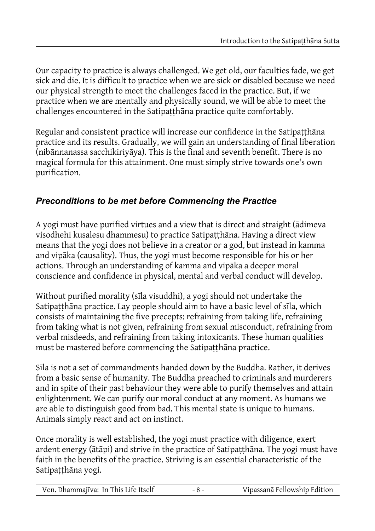Our capacity to practice is always challenged. We get old, our faculties fade, we get sick and die. It is difficult to practice when we are sick or disabled because we need our physical strength to meet the challenges faced in the practice. But, if we practice when we are mentally and physically sound, we will be able to meet the challenges encountered in the Satipatthāna practice quite comfortably.

Regular and consistent practice will increase our confidence in the Satipaṭṭhāna practice and its results. Gradually, we will gain an understanding of final liberation (nibānnanassa sacchikiriyāya). This is the final and seventh benefit. There is no magical formula for this attainment. One must simply strive towards one's own purification.

### *Preconditions to be met before Commencing the Practice*

A yogi must have purified virtues and a view that is direct and straight (ādimeva visodhehi kusalesu dhammesu) to practice Satipaṭṭhāna. Having a direct view means that the yogi does not believe in a creator or a god, but instead in kamma and vipāka (causality). Thus, the yogi must become responsible for his or her actions. Through an understanding of kamma and vipāka a deeper moral conscience and confidence in physical, mental and verbal conduct will develop.

Without purified morality (sīla visuddhi), a yogi should not undertake the Satipatthāna practice. Lay people should aim to have a basic level of sīla, which consists of maintaining the five precepts: refraining from taking life, refraining from taking what is not given, refraining from sexual misconduct, refraining from verbal misdeeds, and refraining from taking intoxicants. These human qualities must be mastered before commencing the Satipaṭṭhāna practice.

Sīla is not a set of commandments handed down by the Buddha. Rather, it derives from a basic sense of humanity. The Buddha preached to criminals and murderers and in spite of their past behaviour they were able to purify themselves and attain enlightenment. We can purify our moral conduct at any moment. As humans we are able to distinguish good from bad. This mental state is unique to humans. Animals simply react and act on instinct.

Once morality is well established, the yogi must practice with diligence, exert ardent energy (ātāpi) and strive in the practice of Satipaṭṭhāna. The yogi must have faith in the benefits of the practice. Striving is an essential characteristic of the Satipatthāna yogi.

| Ven. Dhammajīva: In This Life Itself | $-8-$ | Vipassanā Fellowship Edition |
|--------------------------------------|-------|------------------------------|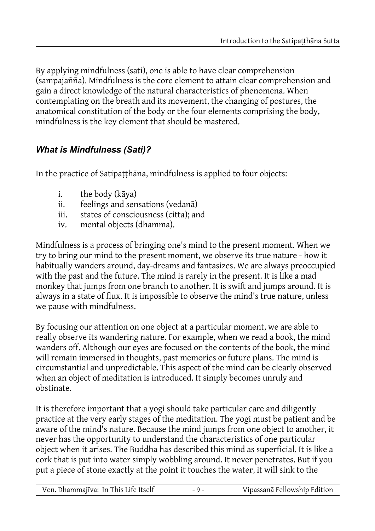By applying mindfulness (sati), one is able to have clear comprehension (sampajañña). Mindfulness is the core element to attain clear comprehension and gain a direct knowledge of the natural characteristics of phenomena. When contemplating on the breath and its movement, the changing of postures, the anatomical constitution of the body or the four elements comprising the body, mindfulness is the key element that should be mastered.

### *What is Mindfulness (Sati)?*

In the practice of Satipatthana, mindfulness is applied to four objects:

- i. the body (kāya)
- ii. feelings and sensations (vedanā)
- iii. states of consciousness (citta); and
- iv. mental objects (dhamma).

Mindfulness is a process of bringing one's mind to the present moment. When we try to bring our mind to the present moment, we observe its true nature - how it habitually wanders around, day-dreams and fantasizes. We are always preoccupied with the past and the future. The mind is rarely in the present. It is like a mad monkey that jumps from one branch to another. It is swift and jumps around. It is always in a state of flux. It is impossible to observe the mind's true nature, unless we pause with mindfulness.

By focusing our attention on one object at a particular moment, we are able to really observe its wandering nature. For example, when we read a book, the mind wanders off. Although our eyes are focused on the contents of the book, the mind will remain immersed in thoughts, past memories or future plans. The mind is circumstantial and unpredictable. This aspect of the mind can be clearly observed when an object of meditation is introduced. It simply becomes unruly and obstinate.

It is therefore important that a yogi should take particular care and diligently practice at the very early stages of the meditation. The yogi must be patient and be aware of the mind's nature. Because the mind jumps from one object to another, it never has the opportunity to understand the characteristics of one particular object when it arises. The Buddha has described this mind as superficial. It is like a cork that is put into water simply wobbling around. It never penetrates. But if you put a piece of stone exactly at the point it touches the water, it will sink to the

| Ven. Dhammajīva: In This Life Itself | $-9-$ | Vipassanā Fellowship Edition |
|--------------------------------------|-------|------------------------------|
|--------------------------------------|-------|------------------------------|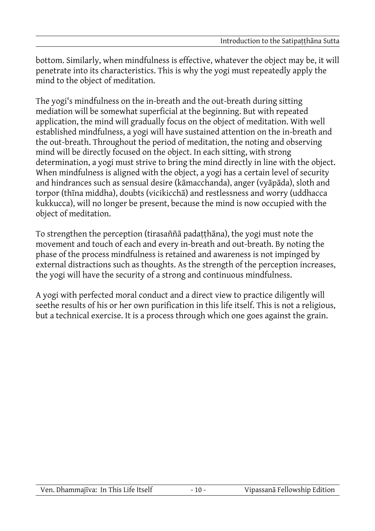bottom. Similarly, when mindfulness is effective, whatever the object may be, it will penetrate into its characteristics. This is why the yogi must repeatedly apply the mind to the object of meditation.

The yogi's mindfulness on the in-breath and the out-breath during sitting mediation will be somewhat superficial at the beginning. But with repeated application, the mind will gradually focus on the object of meditation. With well established mindfulness, a yogi will have sustained attention on the in-breath and the out-breath. Throughout the period of meditation, the noting and observing mind will be directly focused on the object. In each sitting, with strong determination, a yogi must strive to bring the mind directly in line with the object. When mindfulness is aligned with the object, a yogi has a certain level of security and hindrances such as sensual desire (kāmacchanda), anger (vyāpāda), sloth and torpor (thīna middha), doubts (vicikicchā) and restlessness and worry (uddhacca kukkucca), will no longer be present, because the mind is now occupied with the object of meditation.

To strengthen the perception (tirasaññā padaṭṭhāna), the yogi must note the movement and touch of each and every in-breath and out-breath. By noting the phase of the process mindfulness is retained and awareness is not impinged by external distractions such as thoughts. As the strength of the perception increases, the yogi will have the security of a strong and continuous mindfulness.

A yogi with perfected moral conduct and a direct view to practice diligently will seethe results of his or her own purification in this life itself. This is not a religious, but a technical exercise. It is a process through which one goes against the grain.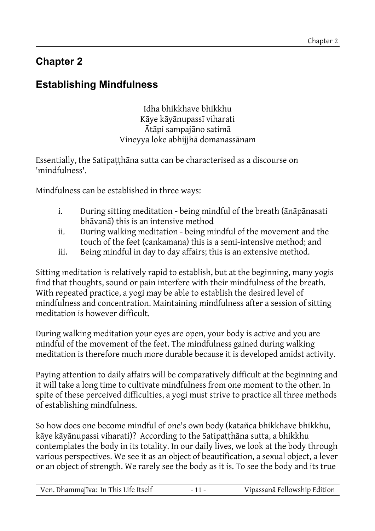## **Chapter 2**

## **Establishing Mindfulness**

Idha bhikkhave bhikkhu Kāye kāyānupassī viharati Ātāpi sampajāno satimā Vineyya loke abhijjhā domanassānam

Essentially, the Satipaṭṭhāna sutta can be characterised as a discourse on 'mindfulness'.

Mindfulness can be established in three ways:

- i. During sitting meditation being mindful of the breath (ānāpānasati bhāvanā) this is an intensive method
- ii. During walking meditation being mindful of the movement and the touch of the feet (cankamana) this is a semi-intensive method; and
- iii. Being mindful in day to day affairs; this is an extensive method.

Sitting meditation is relatively rapid to establish, but at the beginning, many yogis find that thoughts, sound or pain interfere with their mindfulness of the breath. With repeated practice, a yogi may be able to establish the desired level of mindfulness and concentration. Maintaining mindfulness after a session of sitting meditation is however difficult.

During walking meditation your eyes are open, your body is active and you are mindful of the movement of the feet. The mindfulness gained during walking meditation is therefore much more durable because it is developed amidst activity.

Paying attention to daily affairs will be comparatively difficult at the beginning and it will take a long time to cultivate mindfulness from one moment to the other. In spite of these perceived difficulties, a yogi must strive to practice all three methods of establishing mindfulness.

So how does one become mindful of one's own body (katañca bhikkhave bhikkhu, kāye kāyānupassi viharati)? According to the Satipaṭṭhāna sutta, a bhikkhu contemplates the body in its totality. In our daily lives, we look at the body through various perspectives. We see it as an object of beautification, a sexual object, a lever or an object of strength. We rarely see the body as it is. To see the body and its true

| Ven. Dhammajīva: In This Life Itself |  | Vipassanā Fellowship Edition |
|--------------------------------------|--|------------------------------|
|--------------------------------------|--|------------------------------|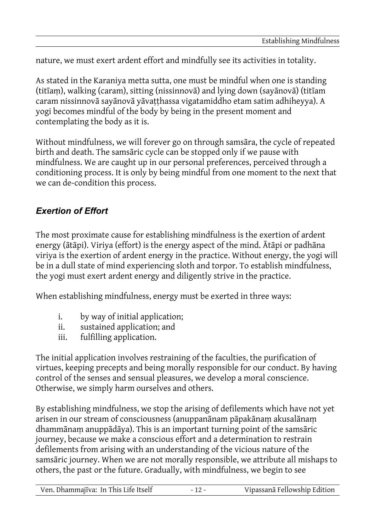nature, we must exert ardent effort and mindfully see its activities in totality.

As stated in the Karaniya metta sutta, one must be mindful when one is standing (titīaṃ), walking (caram), sitting (nissinnovā) and lying down (sayānovā) (titīam caram nissinnovā sayānovā yāvaṭṭhassa vigatamiddho etam satim adhiheyya). A yogi becomes mindful of the body by being in the present moment and contemplating the body as it is.

Without mindfulness, we will forever go on through samsāra, the cycle of repeated birth and death. The samsāric cycle can be stopped only if we pause with mindfulness. We are caught up in our personal preferences, perceived through a conditioning process. It is only by being mindful from one moment to the next that we can de-condition this process.

### *Exertion of Effort*

The most proximate cause for establishing mindfulness is the exertion of ardent energy (ātāpi). Viriya (effort) is the energy aspect of the mind. Ātāpi or padhāna viriya is the exertion of ardent energy in the practice. Without energy, the yogi will be in a dull state of mind experiencing sloth and torpor. To establish mindfulness, the yogi must exert ardent energy and diligently strive in the practice.

When establishing mindfulness, energy must be exerted in three ways:

- i. by way of initial application;
- ii. sustained application; and
- iii. fulfilling application.

The initial application involves restraining of the faculties, the purification of virtues, keeping precepts and being morally responsible for our conduct. By having control of the senses and sensual pleasures, we develop a moral conscience. Otherwise, we simply harm ourselves and others.

By establishing mindfulness, we stop the arising of defilements which have not yet arisen in our stream of consciousness (anuppanānam pāpakānaṃ akusalānaṃ dhammānaṃ anuppādāya). This is an important turning point of the samsāric journey, because we make a conscious effort and a determination to restrain defilements from arising with an understanding of the vicious nature of the samsāric journey. When we are not morally responsible, we attribute all mishaps to others, the past or the future. Gradually, with mindfulness, we begin to see

| Ven. Dhammajīva: In This Life Itself | $-12-$ | Vipassanā Fellowship Edition |
|--------------------------------------|--------|------------------------------|
|--------------------------------------|--------|------------------------------|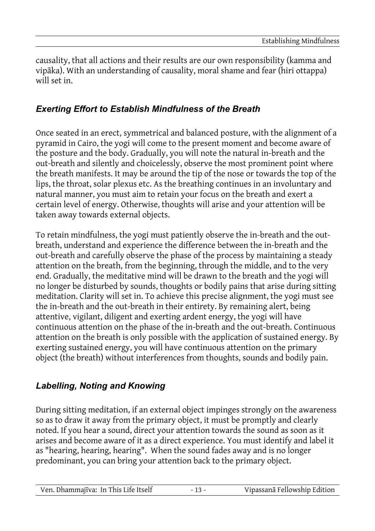causality, that all actions and their results are our own responsibility (kamma and vipāka). With an understanding of causality, moral shame and fear (hiri ottappa) will set in.

#### *Exerting Effort to Establish Mindfulness of the Breath*

Once seated in an erect, symmetrical and balanced posture, with the alignment of a pyramid in Cairo, the yogi will come to the present moment and become aware of the posture and the body. Gradually, you will note the natural in-breath and the out-breath and silently and choicelessly, observe the most prominent point where the breath manifests. It may be around the tip of the nose or towards the top of the lips, the throat, solar plexus etc. As the breathing continues in an involuntary and natural manner, you must aim to retain your focus on the breath and exert a certain level of energy. Otherwise, thoughts will arise and your attention will be taken away towards external objects.

To retain mindfulness, the yogi must patiently observe the in-breath and the outbreath, understand and experience the difference between the in-breath and the out-breath and carefully observe the phase of the process by maintaining a steady attention on the breath, from the beginning, through the middle, and to the very end. Gradually, the meditative mind will be drawn to the breath and the yogi will no longer be disturbed by sounds, thoughts or bodily pains that arise during sitting meditation. Clarity will set in. To achieve this precise alignment, the yogi must see the in-breath and the out-breath in their entirety. By remaining alert, being attentive, vigilant, diligent and exerting ardent energy, the yogi will have continuous attention on the phase of the in-breath and the out-breath. Continuous attention on the breath is only possible with the application of sustained energy. By exerting sustained energy, you will have continuous attention on the primary object (the breath) without interferences from thoughts, sounds and bodily pain.

#### *Labelling, Noting and Knowing*

During sitting meditation, if an external object impinges strongly on the awareness so as to draw it away from the primary object, it must be promptly and clearly noted. If you hear a sound, direct your attention towards the sound as soon as it arises and become aware of it as a direct experience. You must identify and label it as "hearing, hearing, hearing". When the sound fades away and is no longer predominant, you can bring your attention back to the primary object.

| Ven. Dhammajīva: In This Life Itself |  | Vipassanā Fellowship Edition |
|--------------------------------------|--|------------------------------|
|--------------------------------------|--|------------------------------|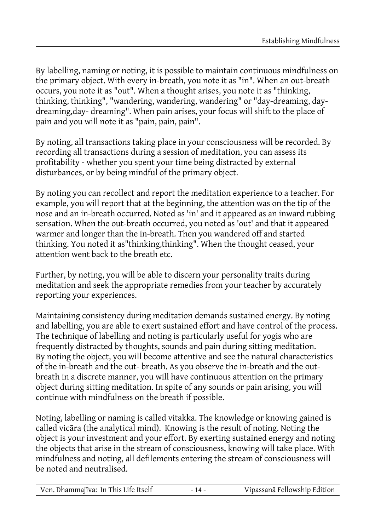By labelling, naming or noting, it is possible to maintain continuous mindfulness on the primary object. With every in-breath, you note it as "in". When an out-breath occurs, you note it as "out". When a thought arises, you note it as "thinking, thinking, thinking", "wandering, wandering, wandering" or "day-dreaming, daydreaming,day- dreaming". When pain arises, your focus will shift to the place of pain and you will note it as "pain, pain, pain".

By noting, all transactions taking place in your consciousness will be recorded. By recording all transactions during a session of meditation, you can assess its profitability - whether you spent your time being distracted by external disturbances, or by being mindful of the primary object.

By noting you can recollect and report the meditation experience to a teacher. For example, you will report that at the beginning, the attention was on the tip of the nose and an in-breath occurred. Noted as 'in' and it appeared as an inward rubbing sensation. When the out-breath occurred, you noted as 'out' and that it appeared warmer and longer than the in-breath. Then you wandered off and started thinking. You noted it as"thinking,thinking". When the thought ceased, your attention went back to the breath etc.

Further, by noting, you will be able to discern your personality traits during meditation and seek the appropriate remedies from your teacher by accurately reporting your experiences.

Maintaining consistency during meditation demands sustained energy. By noting and labelling, you are able to exert sustained effort and have control of the process. The technique of labelling and noting is particularly useful for yogis who are frequently distracted by thoughts, sounds and pain during sitting meditation. By noting the object, you will become attentive and see the natural characteristics of the in-breath and the out- breath. As you observe the in-breath and the outbreath in a discrete manner, you will have continuous attention on the primary object during sitting meditation. In spite of any sounds or pain arising, you will continue with mindfulness on the breath if possible.

Noting, labelling or naming is called vitakka. The knowledge or knowing gained is called vicāra (the analytical mind). Knowing is the result of noting. Noting the object is your investment and your effort. By exerting sustained energy and noting the objects that arise in the stream of consciousness, knowing will take place. With mindfulness and noting, all defilements entering the stream of consciousness will be noted and neutralised.

| Ven. Dhammajīva: In This Life Itself | Vipassanā Fellowship Edition |
|--------------------------------------|------------------------------|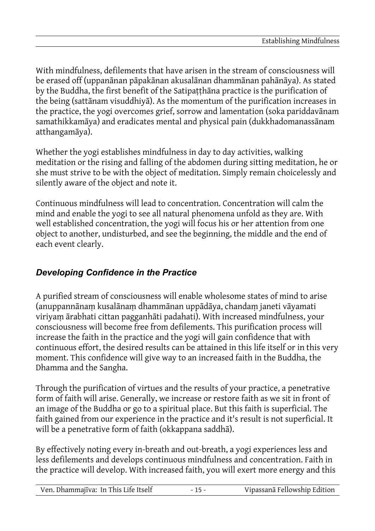With mindfulness, defilements that have arisen in the stream of consciousness will be erased off (uppanānan pāpakānan akusalānan dhammānan pahānāya). As stated by the Buddha, the first benefit of the Satipatthana practice is the purification of the being (sattānam visuddhiyā). As the momentum of the purification increases in the practice, the yogi overcomes grief, sorrow and lamentation (soka pariddavānam samathikkamāya) and eradicates mental and physical pain (dukkhadomanassānam atthangamāya).

Whether the yogi establishes mindfulness in day to day activities, walking meditation or the rising and falling of the abdomen during sitting meditation, he or she must strive to be with the object of meditation. Simply remain choicelessly and silently aware of the object and note it.

Continuous mindfulness will lead to concentration. Concentration will calm the mind and enable the yogi to see all natural phenomena unfold as they are. With well established concentration, the yogi will focus his or her attention from one object to another, undisturbed, and see the beginning, the middle and the end of each event clearly.

### *Developing Confidence in the Practice*

A purified stream of consciousness will enable wholesome states of mind to arise (anuppannānaṃ kusalānaṃ dhammānan uppādāya, chandaṃ janeti vāyamati viriyaṃ ārabhati cittan pagganhāti padahati). With increased mindfulness, your consciousness will become free from defilements. This purification process will increase the faith in the practice and the yogi will gain confidence that with continuous effort, the desired results can be attained in this life itself or in this very moment. This confidence will give way to an increased faith in the Buddha, the Dhamma and the Sangha.

Through the purification of virtues and the results of your practice, a penetrative form of faith will arise. Generally, we increase or restore faith as we sit in front of an image of the Buddha or go to a spiritual place. But this faith is superficial. The faith gained from our experience in the practice and it's result is not superficial. It will be a penetrative form of faith (okkappana saddhā).

By effectively noting every in-breath and out-breath, a yogi experiences less and less defilements and develops continuous mindfulness and concentration. Faith in the practice will develop. With increased faith, you will exert more energy and this

| Ven. Dhammajīva: In This Life Itself | $-15-$ | Vipassanā Fellowship Edition |
|--------------------------------------|--------|------------------------------|
|                                      |        |                              |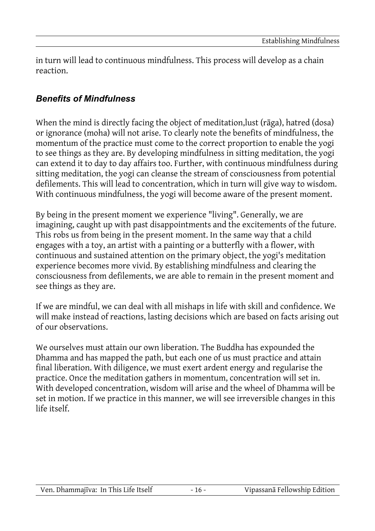in turn will lead to continuous mindfulness. This process will develop as a chain reaction.

#### *Benefits of Mindfulness*

When the mind is directly facing the object of meditation,lust (rāga), hatred (dosa) or ignorance (moha) will not arise. To clearly note the benefits of mindfulness, the momentum of the practice must come to the correct proportion to enable the yogi to see things as they are. By developing mindfulness in sitting meditation, the yogi can extend it to day to day affairs too. Further, with continuous mindfulness during sitting meditation, the yogi can cleanse the stream of consciousness from potential defilements. This will lead to concentration, which in turn will give way to wisdom. With continuous mindfulness, the yogi will become aware of the present moment.

By being in the present moment we experience "living". Generally, we are imagining, caught up with past disappointments and the excitements of the future. This robs us from being in the present moment. In the same way that a child engages with a toy, an artist with a painting or a butterfly with a flower, with continuous and sustained attention on the primary object, the yogi's meditation experience becomes more vivid. By establishing mindfulness and clearing the consciousness from defilements, we are able to remain in the present moment and see things as they are.

If we are mindful, we can deal with all mishaps in life with skill and confidence. We will make instead of reactions, lasting decisions which are based on facts arising out of our observations.

We ourselves must attain our own liberation. The Buddha has expounded the Dhamma and has mapped the path, but each one of us must practice and attain final liberation. With diligence, we must exert ardent energy and regularise the practice. Once the meditation gathers in momentum, concentration will set in. With developed concentration, wisdom will arise and the wheel of Dhamma will be set in motion. If we practice in this manner, we will see irreversible changes in this life itself.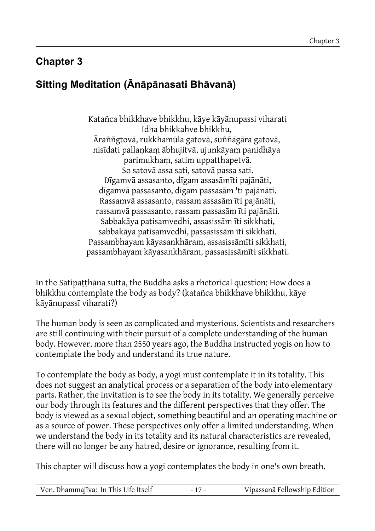## **Chapter 3**

## **Sitting Meditation (Ānāpānasati Bhāvanā)**

Katañca bhikkhave bhikkhu, kāye kāyānupassi viharati Idha bhikkahve bhikkhu, Āraññgtovā, rukkhamūla gatovā, suññāgāra gatovā, nisīdati pallaṇkaṃ ābhujitvā, ujunkāyaṃ panidhāya parimukhaṃ, satim uppatthapetvā. So satovā assa sati, satovā passa sati. Dīgamvā assasanto, dīgam assasāmīti pajānāti, dīgamvā passasanto, dīgam passasām 'ti pajānāti. Rassamvā assasanto, rassam assasām īti pajānāti, rassamvā passasanto, rassam passasām īti pajānāti. Sabbakāya patisamvedhi, assasissām īti sikkhati, sabbakāya patisamvedhi, passasissām īti sikkhati. Passambhayam kāyasankhāram, assasissāmīti sikkhati, passambhayam kāyasankhāram, passasissāmīti sikkhati.

In the Satipatthana sutta, the Buddha asks a rhetorical question: How does a bhikkhu contemplate the body as body? (katañca bhikkhave bhikkhu, kāye kāyānupassī viharati?)

The human body is seen as complicated and mysterious. Scientists and researchers are still continuing with their pursuit of a complete understanding of the human body. However, more than 2550 years ago, the Buddha instructed yogis on how to contemplate the body and understand its true nature.

To contemplate the body as body, a yogi must contemplate it in its totality. This does not suggest an analytical process or a separation of the body into elementary parts. Rather, the invitation is to see the body in its totality. We generally perceive our body through its features and the different perspectives that they offer. The body is viewed as a sexual object, something beautiful and an operating machine or as a source of power. These perspectives only offer a limited understanding. When we understand the body in its totality and its natural characteristics are revealed, there will no longer be any hatred, desire or ignorance, resulting from it.

This chapter will discuss how a yogi contemplates the body in one's own breath.

| Ven. Dhammajīva: In This Life Itself |  | Vipassanā Fellowship Edition |
|--------------------------------------|--|------------------------------|
|--------------------------------------|--|------------------------------|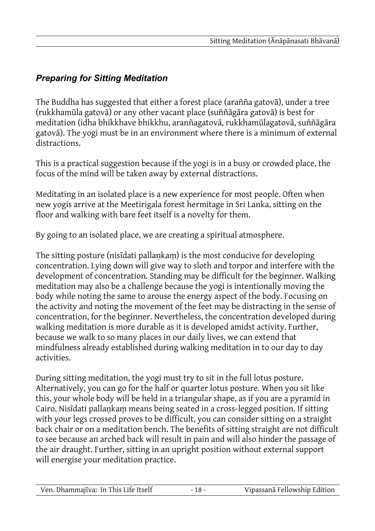## *Preparing for Sitting Meditation*

The Buddha has suggested that either a forest place (arañña gatovā), under a tree (rukkhamūla gatovā) or any other vacant place (suññāgāra gatovā) is best for meditation (idha bhikkhave bhikkhu, aranñagatovā, rukkhamūlagatovā, suññāgāra gatovā). The yogi must be in an environment where there is a minimum of external distractions.

This is a practical suggestion because if the yogi is in a busy or crowded place, the focus of the mind will be taken away by external distractions.

Meditating in an isolated place is a new experience for most people. Often when new yogis arrive at the Meetirigala forest hermitage in Sri Lanka, sitting on the floor and walking with bare feet itself is a novelty for them.

By going to an isolated place, we are creating a spiritual atmosphere.

The sitting posture (nisīdati pallankam) is the most conducive for developing concentration. Lying down will give way to sloth and torpor and interfere with the development of concentration. Standing may be difficult for the beginner. Walking meditation may also be a challenge because the yogi is intentionally moving the body while noting the same to arouse the energy aspect of the body. Focusing on the activity and noting the movement of the feet may be distracting in the sense of concentration, for the beginner. Nevertheless, the concentration developed during walking meditation is more durable as it is developed amidst activity. Further, because we walk to so many places in our daily lives, we can extend that mindfulness already established during walking meditation in to our day to day activities.

During sitting meditation, the yogi must try to sit in the full lotus posture. Alternatively, you can go for the half or quarter lotus posture. When you sit like this, your whole body will be held in a triangular shape, as if you are a pyramid in Cairo. Nisīdati pallaṇkaṃ means being seated in a cross-legged position. If sitting with your legs crossed proves to be difficult, you can consider sitting on a straight back chair or on a meditation bench. The benefits of sitting straight are not difficult to see because an arched back will result in pain and will also hinder the passage of the air draught. Further, sitting in an upright position without external support will energise your meditation practice.

| Ven. Dhammajīva: In This Life Itself | $18 -$ | Vipassanā Fellowship Edition |
|--------------------------------------|--------|------------------------------|
|                                      |        |                              |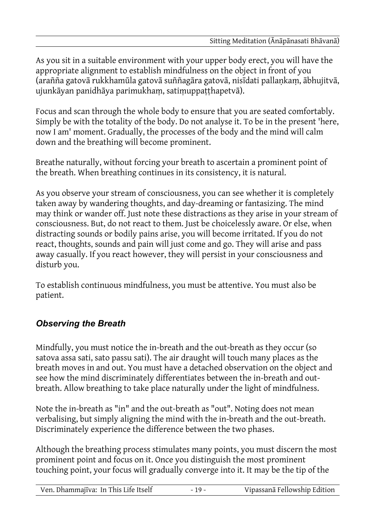As you sit in a suitable environment with your upper body erect, you will have the appropriate alignment to establish mindfulness on the object in front of you (arañña gatovā rukkhamūla gatovā suññagāra gatovā, nisīdati pallaṇkaṃ, ābhujitvā, ujunkāyan panidhāya parimukhaṃ, satiṃuppaṭṭhapetvā).

Focus and scan through the whole body to ensure that you are seated comfortably. Simply be with the totality of the body. Do not analyse it. To be in the present 'here, now I am' moment. Gradually, the processes of the body and the mind will calm down and the breathing will become prominent.

Breathe naturally, without forcing your breath to ascertain a prominent point of the breath. When breathing continues in its consistency, it is natural.

As you observe your stream of consciousness, you can see whether it is completely taken away by wandering thoughts, and day-dreaming or fantasizing. The mind may think or wander off. Just note these distractions as they arise in your stream of consciousness. But, do not react to them. Just be choicelessly aware. Or else, when distracting sounds or bodily pains arise, you will become irritated. If you do not react, thoughts, sounds and pain will just come and go. They will arise and pass away casually. If you react however, they will persist in your consciousness and disturb you.

To establish continuous mindfulness, you must be attentive. You must also be patient.

### *Observing the Breath*

Mindfully, you must notice the in-breath and the out-breath as they occur (so satova assa sati, sato passu sati). The air draught will touch many places as the breath moves in and out. You must have a detached observation on the object and see how the mind discriminately differentiates between the in-breath and outbreath. Allow breathing to take place naturally under the light of mindfulness.

Note the in-breath as "in" and the out-breath as "out". Noting does not mean verbalising, but simply aligning the mind with the in-breath and the out-breath. Discriminately experience the difference between the two phases.

Although the breathing process stimulates many points, you must discern the most prominent point and focus on it. Once you distinguish the most prominent touching point, your focus will gradually converge into it. It may be the tip of the

| Ven. Dhammajīva: In This Life Itself | $-19-$ | Vipassanā Fellowship Edition |
|--------------------------------------|--------|------------------------------|
|                                      |        |                              |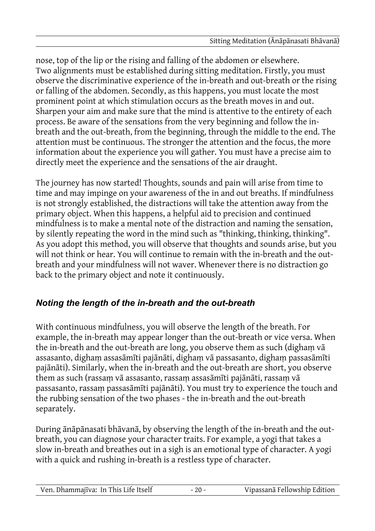nose, top of the lip or the rising and falling of the abdomen or elsewhere. Two alignments must be established during sitting meditation. Firstly, you must observe the discriminative experience of the in-breath and out-breath or the rising or falling of the abdomen. Secondly, as this happens, you must locate the most prominent point at which stimulation occurs as the breath moves in and out. Sharpen your aim and make sure that the mind is attentive to the entirety of each process. Be aware of the sensations from the very beginning and follow the inbreath and the out-breath, from the beginning, through the middle to the end. The attention must be continuous. The stronger the attention and the focus, the more information about the experience you will gather. You must have a precise aim to directly meet the experience and the sensations of the air draught.

The journey has now started! Thoughts, sounds and pain will arise from time to time and may impinge on your awareness of the in and out breaths. If mindfulness is not strongly established, the distractions will take the attention away from the primary object. When this happens, a helpful aid to precision and continued mindfulness is to make a mental note of the distraction and naming the sensation, by silently repeating the word in the mind such as "thinking, thinking, thinking". As you adopt this method, you will observe that thoughts and sounds arise, but you will not think or hear. You will continue to remain with the in-breath and the outbreath and your mindfulness will not waver. Whenever there is no distraction go back to the primary object and note it continuously.

### *Noting the length of the in-breath and the out-breath*

With continuous mindfulness, you will observe the length of the breath. For example, the in-breath may appear longer than the out-breath or vice versa. When the in-breath and the out-breath are long, you observe them as such (dighaṃ vā assasanto, dighaṃ assasāmīti pajānāti, dighaṃ vā passasanto, dighaṃ passasāmīti pajānāti). Similarly, when the in-breath and the out-breath are short, you observe them as such (rassaṃ vā assasanto, rassaṃ assasāmīti pajānāti, rassaṃ vā passasanto, rassaṃ passasāmīti pajānāti). You must try to experience the touch and the rubbing sensation of the two phases - the in-breath and the out-breath separately.

During ānāpānasati bhāvanā, by observing the length of the in-breath and the outbreath, you can diagnose your character traits. For example, a yogi that takes a slow in-breath and breathes out in a sigh is an emotional type of character. A yogi with a quick and rushing in-breath is a restless type of character.

| Ven. Dhammajīva: In This Life Itself |  | Vipassanā Fellowship Edition |
|--------------------------------------|--|------------------------------|
|--------------------------------------|--|------------------------------|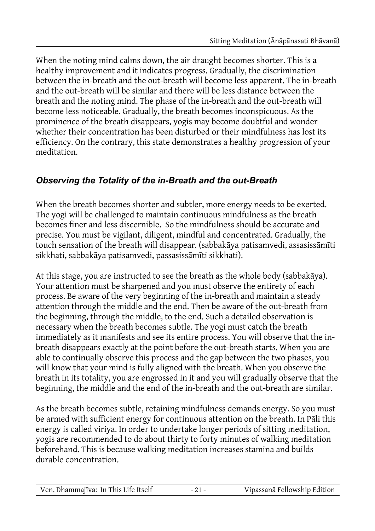When the noting mind calms down, the air draught becomes shorter. This is a healthy improvement and it indicates progress. Gradually, the discrimination between the in-breath and the out-breath will become less apparent. The in-breath and the out-breath will be similar and there will be less distance between the breath and the noting mind. The phase of the in-breath and the out-breath will become less noticeable. Gradually, the breath becomes inconspicuous. As the prominence of the breath disappears, yogis may become doubtful and wonder whether their concentration has been disturbed or their mindfulness has lost its efficiency. On the contrary, this state demonstrates a healthy progression of your meditation.

### *Observing the Totality of the in-Breath and the out-Breath*

When the breath becomes shorter and subtler, more energy needs to be exerted. The yogi will be challenged to maintain continuous mindfulness as the breath becomes finer and less discernible. So the mindfulness should be accurate and precise. You must be vigilant, diligent, mindful and concentrated. Gradually, the touch sensation of the breath will disappear. (sabbakāya patisamvedi, assasissāmīti sikkhati, sabbakāya patisamvedi, passasissāmīti sikkhati).

At this stage, you are instructed to see the breath as the whole body (sabbakāya). Your attention must be sharpened and you must observe the entirety of each process. Be aware of the very beginning of the in-breath and maintain a steady attention through the middle and the end. Then be aware of the out-breath from the beginning, through the middle, to the end. Such a detailed observation is necessary when the breath becomes subtle. The yogi must catch the breath immediately as it manifests and see its entire process. You will observe that the inbreath disappears exactly at the point before the out-breath starts. When you are able to continually observe this process and the gap between the two phases, you will know that your mind is fully aligned with the breath. When you observe the breath in its totality, you are engrossed in it and you will gradually observe that the beginning, the middle and the end of the in-breath and the out-breath are similar.

As the breath becomes subtle, retaining mindfulness demands energy. So you must be armed with sufficient energy for continuous attention on the breath. In Pāli this energy is called viriya. In order to undertake longer periods of sitting meditation, yogis are recommended to do about thirty to forty minutes of walking meditation beforehand. This is because walking meditation increases stamina and builds durable concentration.

| Ven. Dhammajīva: In This Life Itself | Vipassanā Fellowship Edition |
|--------------------------------------|------------------------------|
|                                      |                              |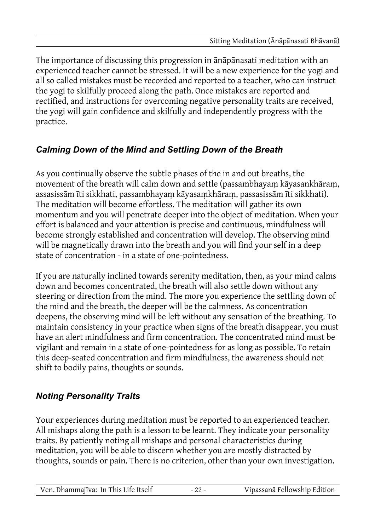The importance of discussing this progression in ānāpānasati meditation with an experienced teacher cannot be stressed. It will be a new experience for the yogi and all so called mistakes must be recorded and reported to a teacher, who can instruct the yogi to skilfully proceed along the path. Once mistakes are reported and rectified, and instructions for overcoming negative personality traits are received, the yogi will gain confidence and skilfully and independently progress with the practice.

## *Calming Down of the Mind and Settling Down of the Breath*

As you continually observe the subtle phases of the in and out breaths, the movement of the breath will calm down and settle (passambhayaṃ kāyasankhāraṃ, assasissām īti sikkhati, passambhayaṃ kāyasaṃkhāraṃ, passasissām īti sikkhati). The meditation will become effortless. The meditation will gather its own momentum and you will penetrate deeper into the object of meditation. When your effort is balanced and your attention is precise and continuous, mindfulness will become strongly established and concentration will develop. The observing mind will be magnetically drawn into the breath and you will find your self in a deep state of concentration - in a state of one-pointedness.

If you are naturally inclined towards serenity meditation, then, as your mind calms down and becomes concentrated, the breath will also settle down without any steering or direction from the mind. The more you experience the settling down of the mind and the breath, the deeper will be the calmness. As concentration deepens, the observing mind will be left without any sensation of the breathing. To maintain consistency in your practice when signs of the breath disappear, you must have an alert mindfulness and firm concentration. The concentrated mind must be vigilant and remain in a state of one-pointedness for as long as possible. To retain this deep-seated concentration and firm mindfulness, the awareness should not shift to bodily pains, thoughts or sounds.

### *Noting Personality Traits*

Your experiences during meditation must be reported to an experienced teacher. All mishaps along the path is a lesson to be learnt. They indicate your personality traits. By patiently noting all mishaps and personal characteristics during meditation, you will be able to discern whether you are mostly distracted by thoughts, sounds or pain. There is no criterion, other than your own investigation.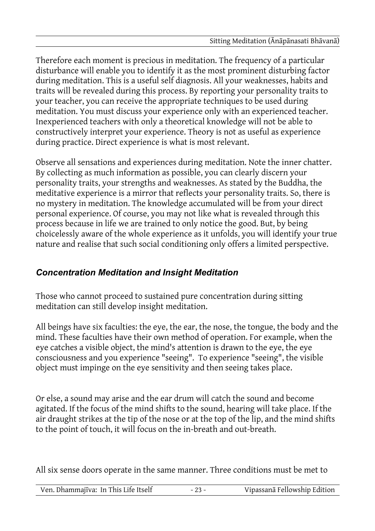Therefore each moment is precious in meditation. The frequency of a particular disturbance will enable you to identify it as the most prominent disturbing factor during meditation. This is a useful self diagnosis. All your weaknesses, habits and traits will be revealed during this process. By reporting your personality traits to your teacher, you can receive the appropriate techniques to be used during meditation. You must discuss your experience only with an experienced teacher. Inexperienced teachers with only a theoretical knowledge will not be able to constructively interpret your experience. Theory is not as useful as experience during practice. Direct experience is what is most relevant.

Observe all sensations and experiences during meditation. Note the inner chatter. By collecting as much information as possible, you can clearly discern your personality traits, your strengths and weaknesses. As stated by the Buddha, the meditative experience is a mirror that reflects your personality traits. So, there is no mystery in meditation. The knowledge accumulated will be from your direct personal experience. Of course, you may not like what is revealed through this process because in life we are trained to only notice the good. But, by being choicelessly aware of the whole experience as it unfolds, you will identify your true nature and realise that such social conditioning only offers a limited perspective.

### *Concentration Meditation and Insight Meditation*

Those who cannot proceed to sustained pure concentration during sitting meditation can still develop insight meditation.

All beings have six faculties: the eye, the ear, the nose, the tongue, the body and the mind. These faculties have their own method of operation. For example, when the eye catches a visible object, the mind's attention is drawn to the eye, the eye consciousness and you experience "seeing". To experience "seeing", the visible object must impinge on the eye sensitivity and then seeing takes place.

Or else, a sound may arise and the ear drum will catch the sound and become agitated. If the focus of the mind shifts to the sound, hearing will take place. If the air draught strikes at the tip of the nose or at the top of the lip, and the mind shifts to the point of touch, it will focus on the in-breath and out-breath.

All six sense doors operate in the same manner. Three conditions must be met to

|--|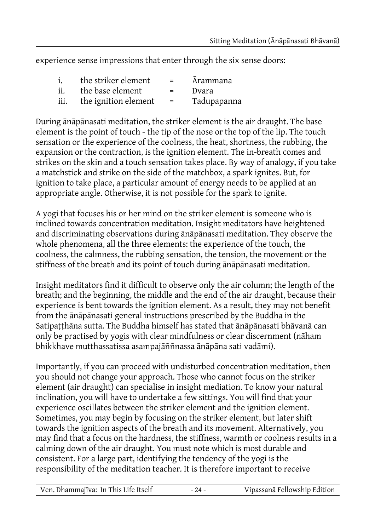experience sense impressions that enter through the six sense doors:

| $\mathbf{i}$ . | the striker element  | $=$      | <i>Arammana</i> |
|----------------|----------------------|----------|-----------------|
| ii.            | the base element     | $=$ $-$  | Dvara           |
| iii.           | the ignition element | $\equiv$ | Tadupapanna     |

During ānāpānasati meditation, the striker element is the air draught. The base element is the point of touch - the tip of the nose or the top of the lip. The touch sensation or the experience of the coolness, the heat, shortness, the rubbing, the expansion or the contraction, is the ignition element. The in-breath comes and strikes on the skin and a touch sensation takes place. By way of analogy, if you take a matchstick and strike on the side of the matchbox, a spark ignites. But, for ignition to take place, a particular amount of energy needs to be applied at an appropriate angle. Otherwise, it is not possible for the spark to ignite.

A yogi that focuses his or her mind on the striker element is someone who is inclined towards concentration meditation. Insight meditators have heightened and discriminating observations during ānāpānasati meditation. They observe the whole phenomena, all the three elements: the experience of the touch, the coolness, the calmness, the rubbing sensation, the tension, the movement or the stiffness of the breath and its point of touch during ānāpānasati meditation.

Insight meditators find it difficult to observe only the air column; the length of the breath; and the beginning, the middle and the end of the air draught, because their experience is bent towards the ignition element. As a result, they may not benefit from the ānāpānasati general instructions prescribed by the Buddha in the Satipaṭṭhāna sutta. The Buddha himself has stated that ānāpānasati bhāvanā can only be practised by yogis with clear mindfulness or clear discernment (nāham bhikkhave mutthassatissa asampajāññnassa ānāpāna sati vadāmi).

Importantly, if you can proceed with undisturbed concentration meditation, then you should not change your approach. Those who cannot focus on the striker element (air draught) can specialise in insight mediation. To know your natural inclination, you will have to undertake a few sittings. You will find that your experience oscillates between the striker element and the ignition element. Sometimes, you may begin by focusing on the striker element, but later shift towards the ignition aspects of the breath and its movement. Alternatively, you may find that a focus on the hardness, the stiffness, warmth or coolness results in a calming down of the air draught. You must note which is most durable and consistent. For a large part, identifying the tendency of the yogi is the responsibility of the meditation teacher. It is therefore important to receive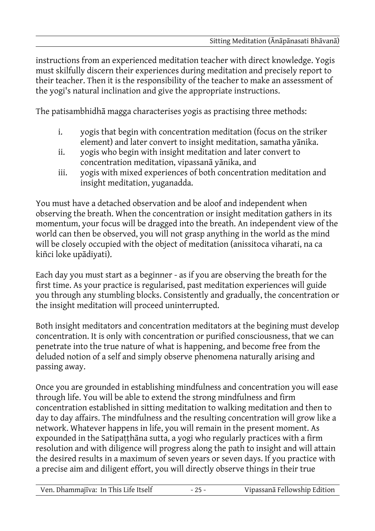instructions from an experienced meditation teacher with direct knowledge. Yogis must skilfully discern their experiences during meditation and precisely report to their teacher. Then it is the responsibility of the teacher to make an assessment of the yogi's natural inclination and give the appropriate instructions.

The patisambhidhā magga characterises yogis as practising three methods:

- i. yogis that begin with concentration meditation (focus on the striker element) and later convert to insight meditation, samatha yānika.
- ii. yogis who begin with insight meditation and later convert to concentration meditation, vipassanā yānika, and
- iii. yogis with mixed experiences of both concentration meditation and insight meditation, yuganadda.

You must have a detached observation and be aloof and independent when observing the breath. When the concentration or insight meditation gathers in its momentum, your focus will be dragged into the breath. An independent view of the world can then be observed, you will not grasp anything in the world as the mind will be closely occupied with the object of meditation (anissitoca viharati, na ca kiñci loke upādiyati).

Each day you must start as a beginner - as if you are observing the breath for the first time. As your practice is regularised, past meditation experiences will guide you through any stumbling blocks. Consistently and gradually, the concentration or the insight meditation will proceed uninterrupted.

Both insight meditators and concentration meditators at the begining must develop concentration. It is only with concentration or purified consciousness, that we can penetrate into the true nature of what is happening, and become free from the deluded notion of a self and simply observe phenomena naturally arising and passing away.

Once you are grounded in establishing mindfulness and concentration you will ease through life. You will be able to extend the strong mindfulness and firm concentration established in sitting meditation to walking meditation and then to day to day affairs. The mindfulness and the resulting concentration will grow like a network. Whatever happens in life, you will remain in the present moment. As expounded in the Satipatthana sutta, a yogi who regularly practices with a firm resolution and with diligence will progress along the path to insight and will attain the desired results in a maximum of seven years or seven days. If you practice with a precise aim and diligent effort, you will directly observe things in their true

| Ven. Dhammajīva: In This Life Itself |  | Vipassanā Fellowship Edition |
|--------------------------------------|--|------------------------------|
|--------------------------------------|--|------------------------------|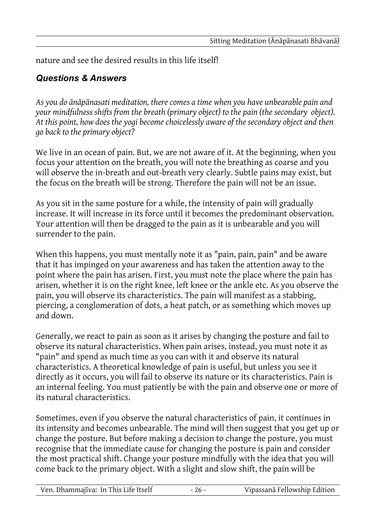nature and see the desired results in this life itself!

#### *Questions & Answers*

*As you do ānāpānasati meditation, there comes a time when you have unbearable pain and your mindfulness shifts from the breath (primary object) to the pain (the secondary object). At this point, how does the yogi become choicelessly aware of the secondary object and then go back to the primary object?*

We live in an ocean of pain. But, we are not aware of it. At the beginning, when you focus your attention on the breath, you will note the breathing as coarse and you will observe the in-breath and out-breath very clearly. Subtle pains may exist, but the focus on the breath will be strong. Therefore the pain will not be an issue.

As you sit in the same posture for a while, the intensity of pain will gradually increase. It will increase in its force until it becomes the predominant observation. Your attention will then be dragged to the pain as it is unbearable and you will surrender to the pain.

When this happens, you must mentally note it as "pain, pain, pain" and be aware that it has impinged on your awareness and has taken the attention away to the point where the pain has arisen. First, you must note the place where the pain has arisen, whether it is on the right knee, left knee or the ankle etc. As you observe the pain, you will observe its characteristics. The pain will manifest as a stabbing, piercing, a conglomeration of dots, a heat patch, or as something which moves up and down.

Generally, we react to pain as soon as it arises by changing the posture and fail to observe its natural characteristics. When pain arises, instead, you must note it as "pain" and spend as much time as you can with it and observe its natural characteristics. A theoretical knowledge of pain is useful, but unless you see it directly as it occurs, you will fail to observe its nature or its characteristics. Pain is an internal feeling. You must patiently be with the pain and observe one or more of its natural characteristics.

Sometimes, even if you observe the natural characteristics of pain, it continues in its intensity and becomes unbearable. The mind will then suggest that you get up or change the posture. But before making a decision to change the posture, you must recognise that the immediate cause for changing the posture is pain and consider the most practical shift. Change your posture mindfully with the idea that you will come back to the primary object. With a slight and slow shift, the pain will be

| Ven. Dhammajīva: In This Life Itself |  | Vipassanā Fellowship Edition |
|--------------------------------------|--|------------------------------|
|--------------------------------------|--|------------------------------|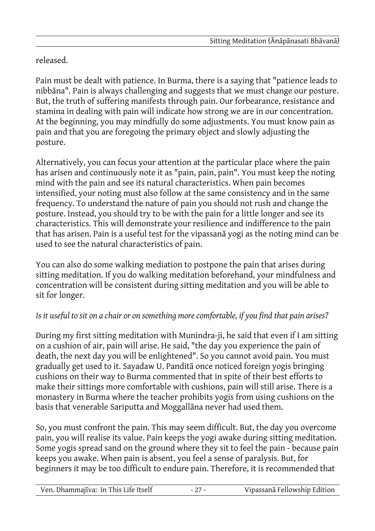### released.

Pain must be dealt with patience. In Burma, there is a saying that "patience leads to nibbāna". Pain is always challenging and suggests that we must change our posture. But, the truth of suffering manifests through pain. Our forbearance, resistance and stamina in dealing with pain will indicate how strong we are in our concentration. At the beginning, you may mindfully do some adjustments. You must know pain as pain and that you are foregoing the primary object and slowly adjusting the posture.

Alternatively, you can focus your attention at the particular place where the pain has arisen and continuously note it as "pain, pain, pain". You must keep the noting mind with the pain and see its natural characteristics. When pain becomes intensified, your noting must also follow at the same consistency and in the same frequency. To understand the nature of pain you should not rush and change the posture. Instead, you should try to be with the pain for a little longer and see its characteristics. This will demonstrate your resilience and indifference to the pain that has arisen. Pain is a useful test for the vipassanā yogi as the noting mind can be used to see the natural characteristics of pain.

You can also do some walking mediation to postpone the pain that arises during sitting meditation. If you do walking meditation beforehand, your mindfulness and concentration will be consistent during sitting meditation and you will be able to sit for longer.

#### *Is it useful to sit on a chair or on something more comfortable, if you find that pain arises?*

During my first sitting meditation with Munindra-ji, he said that even if I am sitting on a cushion of air, pain will arise. He said, "the day you experience the pain of death, the next day you will be enlightened". So you cannot avoid pain. You must gradually get used to it. Sayadaw U. Panditā once noticed foreign yogis bringing cushions on their way to Burma commented that in spite of their best efforts to make their sittings more comfortable with cushions, pain will still arise. There is a monastery in Burma where the teacher prohibits yogis from using cushions on the basis that venerable Sariputta and Moggallāna never had used them.

So, you must confront the pain. This may seem difficult. But, the day you overcome pain, you will realise its value. Pain keeps the yogi awake during sitting meditation. Some yogis spread sand on the ground where they sit to feel the pain - because pain keeps you awake. When pain is absent, you feel a sense of paralysis. But, for beginners it may be too difficult to endure pain. Therefore, it is recommended that

| Ven. Dhammajīva: In This Life Itself | - | Vipassanā Fellowship Edition |
|--------------------------------------|---|------------------------------|
|                                      |   |                              |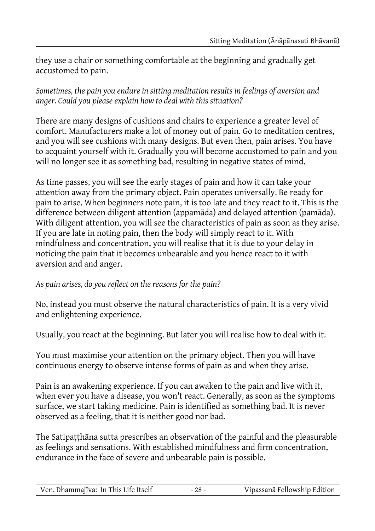they use a chair or something comfortable at the beginning and gradually get accustomed to pain.

*Sometimes, the pain you endure in sitting meditation results in feelings of aversion and anger. Could you please explain how to deal with this situation?*

There are many designs of cushions and chairs to experience a greater level of comfort. Manufacturers make a lot of money out of pain. Go to meditation centres, and you will see cushions with many designs. But even then, pain arises. You have to acquaint yourself with it. Gradually you will become accustomed to pain and you will no longer see it as something bad, resulting in negative states of mind.

As time passes, you will see the early stages of pain and how it can take your attention away from the primary object. Pain operates universally. Be ready for pain to arise. When beginners note pain, it is too late and they react to it. This is the difference between diligent attention (appamāda) and delayed attention (pamāda). With diligent attention, you will see the characteristics of pain as soon as they arise. If you are late in noting pain, then the body will simply react to it. With mindfulness and concentration, you will realise that it is due to your delay in noticing the pain that it becomes unbearable and you hence react to it with aversion and and anger.

#### *As pain arises, do you reflect on the reasons for the pain?*

No, instead you must observe the natural characteristics of pain. It is a very vivid and enlightening experience.

Usually, you react at the beginning. But later you will realise how to deal with it.

You must maximise your attention on the primary object. Then you will have continuous energy to observe intense forms of pain as and when they arise.

Pain is an awakening experience. If you can awaken to the pain and live with it, when ever you have a disease, you won't react. Generally, as soon as the symptoms surface, we start taking medicine. Pain is identified as something bad. It is never observed as a feeling, that it is neither good nor bad.

The Satipaṭṭhāna sutta prescribes an observation of the painful and the pleasurable as feelings and sensations. With established mindfulness and firm concentration, endurance in the face of severe and unbearable pain is possible.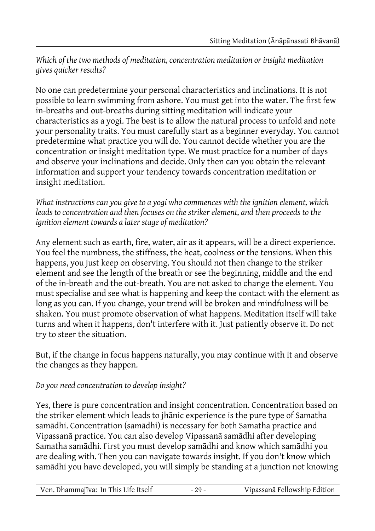#### *Which of the two methods of meditation, concentration meditation or insight meditation gives quicker results?*

No one can predetermine your personal characteristics and inclinations. It is not possible to learn swimming from ashore. You must get into the water. The first few in-breaths and out-breaths during sitting meditation will indicate your characteristics as a yogi. The best is to allow the natural process to unfold and note your personality traits. You must carefully start as a beginner everyday. You cannot predetermine what practice you will do. You cannot decide whether you are the concentration or insight meditation type. We must practice for a number of days and observe your inclinations and decide. Only then can you obtain the relevant information and support your tendency towards concentration meditation or insight meditation.

*What instructions can you give to a yogi who commences with the ignition element, which leads to concentration and then focuses on the striker element, and then proceeds to the ignition element towards a later stage of meditation?*

Any element such as earth, fire, water, air as it appears, will be a direct experience. You feel the numbness, the stiffness, the heat, coolness or the tensions. When this happens, you just keep on observing. You should not then change to the striker element and see the length of the breath or see the beginning, middle and the end of the in-breath and the out-breath. You are not asked to change the element. You must specialise and see what is happening and keep the contact with the element as long as you can. If you change, your trend will be broken and mindfulness will be shaken. You must promote observation of what happens. Meditation itself will take turns and when it happens, don't interfere with it. Just patiently observe it. Do not try to steer the situation.

But, if the change in focus happens naturally, you may continue with it and observe the changes as they happen.

#### *Do you need concentration to develop insight?*

Yes, there is pure concentration and insight concentration. Concentration based on the striker element which leads to jhānic experience is the pure type of Samatha samādhi. Concentration (samādhi) is necessary for both Samatha practice and Vipassanā practice. You can also develop Vipassanā samādhi after developing Samatha samādhi. First you must develop samādhi and know which samādhi you are dealing with. Then you can navigate towards insight. If you don't know which samādhi you have developed, you will simply be standing at a junction not knowing

| Ven. Dhammajīva: In This Life Itself | $29 -$ | Vipassanā Fellowship Edition |
|--------------------------------------|--------|------------------------------|
|--------------------------------------|--------|------------------------------|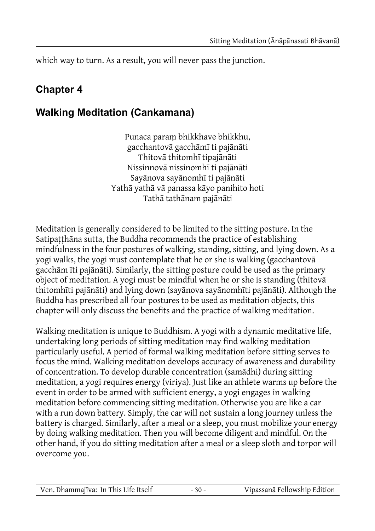which way to turn. As a result, you will never pass the junction.

# **Chapter 4**

# **Walking Meditation (Cankamana)**

Punaca paraṃ bhikkhave bhikkhu, gacchantovā gacchāmī ti pajānāti Thitovā thitomhī tipajānāti Nissinnovā nissinomhī ti pajānāti Sayānova sayānomhī ti pajānāti Yathā yathā vā panassa kāyo panihito hoti Tathā tathānam pajānāti

Meditation is generally considered to be limited to the sitting posture. In the Satipatthāna sutta, the Buddha recommends the practice of establishing mindfulness in the four postures of walking, standing, sitting, and lying down. As a yogi walks, the yogi must contemplate that he or she is walking (gacchantovā gacchām īti pajānāti). Similarly, the sitting posture could be used as the primary object of meditation. A yogi must be mindful when he or she is standing (thitovā thitomhīti pajānāti) and lying down (sayānova sayānomhīti pajānāti). Although the Buddha has prescribed all four postures to be used as meditation objects, this chapter will only discuss the benefits and the practice of walking meditation.

Walking meditation is unique to Buddhism. A yogi with a dynamic meditative life, undertaking long periods of sitting meditation may find walking meditation particularly useful. A period of formal walking meditation before sitting serves to focus the mind. Walking meditation develops accuracy of awareness and durability of concentration. To develop durable concentration (samādhi) during sitting meditation, a yogi requires energy (viriya). Just like an athlete warms up before the event in order to be armed with sufficient energy, a yogi engages in walking meditation before commencing sitting meditation. Otherwise you are like a car with a run down battery. Simply, the car will not sustain a long journey unless the battery is charged. Similarly, after a meal or a sleep, you must mobilize your energy by doing walking meditation. Then you will become diligent and mindful. On the other hand, if you do sitting meditation after a meal or a sleep sloth and torpor will overcome you.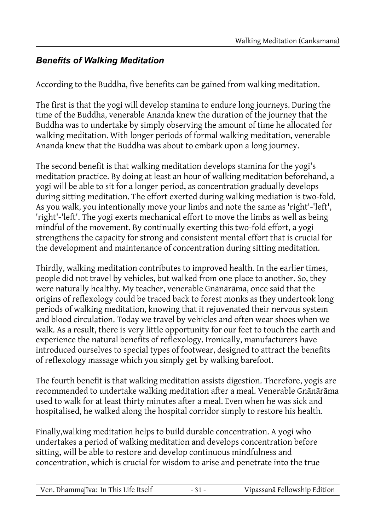### *Benefits of Walking Meditation*

According to the Buddha, five benefits can be gained from walking meditation.

The first is that the yogi will develop stamina to endure long journeys. During the time of the Buddha, venerable Ananda knew the duration of the journey that the Buddha was to undertake by simply observing the amount of time he allocated for walking meditation. With longer periods of formal walking meditation, venerable Ananda knew that the Buddha was about to embark upon a long journey.

The second benefit is that walking meditation develops stamina for the yogi's meditation practice. By doing at least an hour of walking meditation beforehand, a yogi will be able to sit for a longer period, as concentration gradually develops during sitting meditation. The effort exerted during walking mediation is two-fold. As you walk, you intentionally move your limbs and note the same as 'right'-'left', 'right'-'left'. The yogi exerts mechanical effort to move the limbs as well as being mindful of the movement. By continually exerting this two-fold effort, a yogi strengthens the capacity for strong and consistent mental effort that is crucial for the development and maintenance of concentration during sitting meditation.

Thirdly, walking meditation contributes to improved health. In the earlier times, people did not travel by vehicles, but walked from one place to another. So, they were naturally healthy. My teacher, venerable Gnānārāma, once said that the origins of reflexology could be traced back to forest monks as they undertook long periods of walking meditation, knowing that it rejuvenated their nervous system and blood circulation. Today we travel by vehicles and often wear shoes when we walk. As a result, there is very little opportunity for our feet to touch the earth and experience the natural benefits of reflexology. Ironically, manufacturers have introduced ourselves to special types of footwear, designed to attract the benefits of reflexology massage which you simply get by walking barefoot.

The fourth benefit is that walking meditation assists digestion. Therefore, yogis are recommended to undertake walking meditation after a meal. Venerable Gnānārāma used to walk for at least thirty minutes after a meal. Even when he was sick and hospitalised, he walked along the hospital corridor simply to restore his health.

Finally,walking meditation helps to build durable concentration. A yogi who undertakes a period of walking meditation and develops concentration before sitting, will be able to restore and develop continuous mindfulness and concentration, which is crucial for wisdom to arise and penetrate into the true

| Ven. Dhammajīva: In This Life Itself |  | Vipassanā Fellowship Edition |
|--------------------------------------|--|------------------------------|
|--------------------------------------|--|------------------------------|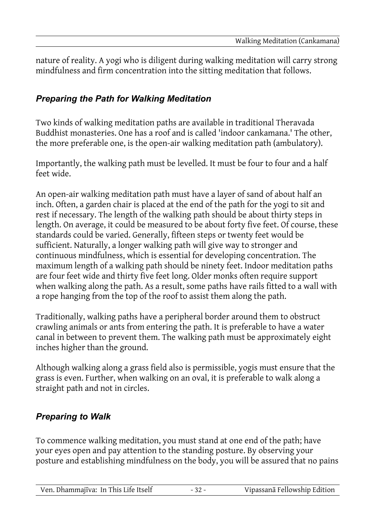nature of reality. A yogi who is diligent during walking meditation will carry strong mindfulness and firm concentration into the sitting meditation that follows.

#### *Preparing the Path for Walking Meditation*

Two kinds of walking meditation paths are available in traditional Theravada Buddhist monasteries. One has a roof and is called 'indoor cankamana.' The other, the more preferable one, is the open-air walking meditation path (ambulatory).

Importantly, the walking path must be levelled. It must be four to four and a half feet wide.

An open-air walking meditation path must have a layer of sand of about half an inch. Often, a garden chair is placed at the end of the path for the yogi to sit and rest if necessary. The length of the walking path should be about thirty steps in length. On average, it could be measured to be about forty five feet. Of course, these standards could be varied. Generally, fifteen steps or twenty feet would be sufficient. Naturally, a longer walking path will give way to stronger and continuous mindfulness, which is essential for developing concentration. The maximum length of a walking path should be ninety feet. Indoor meditation paths are four feet wide and thirty five feet long. Older monks often require support when walking along the path. As a result, some paths have rails fitted to a wall with a rope hanging from the top of the roof to assist them along the path.

Traditionally, walking paths have a peripheral border around them to obstruct crawling animals or ants from entering the path. It is preferable to have a water canal in between to prevent them. The walking path must be approximately eight inches higher than the ground.

Although walking along a grass field also is permissible, yogis must ensure that the grass is even. Further, when walking on an oval, it is preferable to walk along a straight path and not in circles.

#### *Preparing to Walk*

To commence walking meditation, you must stand at one end of the path; have your eyes open and pay attention to the standing posture. By observing your posture and establishing mindfulness on the body, you will be assured that no pains

|  | Ven. Dhammajīva: In This Life Itself |  | Vipassanā Fellowship Edition |
|--|--------------------------------------|--|------------------------------|
|--|--------------------------------------|--|------------------------------|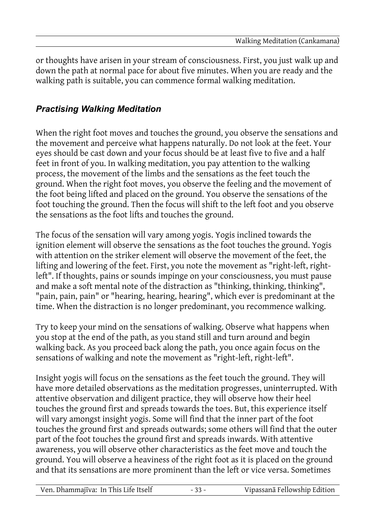or thoughts have arisen in your stream of consciousness. First, you just walk up and down the path at normal pace for about five minutes. When you are ready and the walking path is suitable, you can commence formal walking meditation.

#### *Practising Walking Meditation*

When the right foot moves and touches the ground, you observe the sensations and the movement and perceive what happens naturally. Do not look at the feet. Your eyes should be cast down and your focus should be at least five to five and a half feet in front of you. In walking meditation, you pay attention to the walking process, the movement of the limbs and the sensations as the feet touch the ground. When the right foot moves, you observe the feeling and the movement of the foot being lifted and placed on the ground. You observe the sensations of the foot touching the ground. Then the focus will shift to the left foot and you observe the sensations as the foot lifts and touches the ground.

The focus of the sensation will vary among yogis. Yogis inclined towards the ignition element will observe the sensations as the foot touches the ground. Yogis with attention on the striker element will observe the movement of the feet, the lifting and lowering of the feet. First, you note the movement as "right-left, rightleft". If thoughts, pains or sounds impinge on your consciousness, you must pause and make a soft mental note of the distraction as "thinking, thinking, thinking", "pain, pain, pain" or "hearing, hearing, hearing", which ever is predominant at the time. When the distraction is no longer predominant, you recommence walking.

Try to keep your mind on the sensations of walking. Observe what happens when you stop at the end of the path, as you stand still and turn around and begin walking back. As you proceed back along the path, you once again focus on the sensations of walking and note the movement as "right-left, right-left".

Insight yogis will focus on the sensations as the feet touch the ground. They will have more detailed observations as the meditation progresses, uninterrupted. With attentive observation and diligent practice, they will observe how their heel touches the ground first and spreads towards the toes. But, this experience itself will vary amongst insight yogis. Some will find that the inner part of the foot touches the ground first and spreads outwards; some others will find that the outer part of the foot touches the ground first and spreads inwards. With attentive awareness, you will observe other characteristics as the feet move and touch the ground. You will observe a heaviness of the right foot as it is placed on the ground and that its sensations are more prominent than the left or vice versa. Sometimes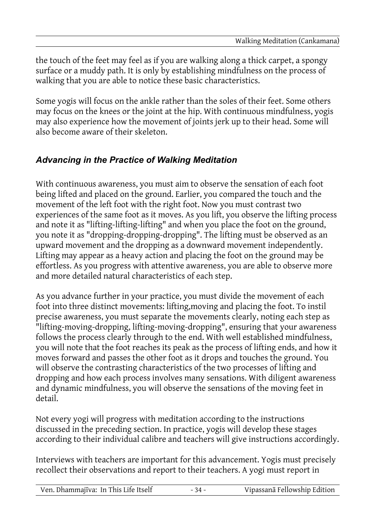the touch of the feet may feel as if you are walking along a thick carpet, a spongy surface or a muddy path. It is only by establishing mindfulness on the process of walking that you are able to notice these basic characteristics.

Some yogis will focus on the ankle rather than the soles of their feet. Some others may focus on the knees or the joint at the hip. With continuous mindfulness, yogis may also experience how the movement of joints jerk up to their head. Some will also become aware of their skeleton.

#### *Advancing in the Practice of Walking Meditation*

With continuous awareness, you must aim to observe the sensation of each foot being lifted and placed on the ground. Earlier, you compared the touch and the movement of the left foot with the right foot. Now you must contrast two experiences of the same foot as it moves. As you lift, you observe the lifting process and note it as "lifting-lifting-lifting" and when you place the foot on the ground, you note it as "dropping-dropping-dropping". The lifting must be observed as an upward movement and the dropping as a downward movement independently. Lifting may appear as a heavy action and placing the foot on the ground may be effortless. As you progress with attentive awareness, you are able to observe more and more detailed natural characteristics of each step.

As you advance further in your practice, you must divide the movement of each foot into three distinct movements: lifting,moving and placing the foot. To instil precise awareness, you must separate the movements clearly, noting each step as "lifting-moving-dropping, lifting-moving-dropping", ensuring that your awareness follows the process clearly through to the end. With well established mindfulness, you will note that the foot reaches its peak as the process of lifting ends, and how it moves forward and passes the other foot as it drops and touches the ground. You will observe the contrasting characteristics of the two processes of lifting and dropping and how each process involves many sensations. With diligent awareness and dynamic mindfulness, you will observe the sensations of the moving feet in detail.

Not every yogi will progress with meditation according to the instructions discussed in the preceding section. In practice, yogis will develop these stages according to their individual calibre and teachers will give instructions accordingly.

Interviews with teachers are important for this advancement. Yogis must precisely recollect their observations and report to their teachers. A yogi must report in

|--|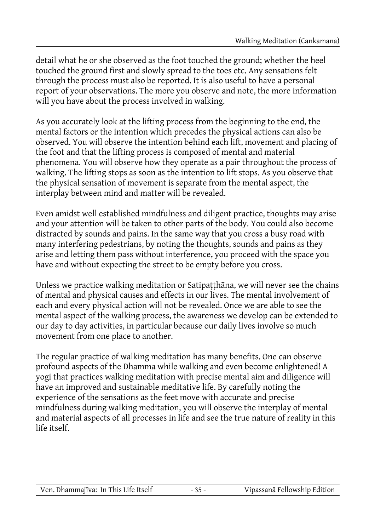detail what he or she observed as the foot touched the ground; whether the heel touched the ground first and slowly spread to the toes etc. Any sensations felt through the process must also be reported. It is also useful to have a personal report of your observations. The more you observe and note, the more information will you have about the process involved in walking.

As you accurately look at the lifting process from the beginning to the end, the mental factors or the intention which precedes the physical actions can also be observed. You will observe the intention behind each lift, movement and placing of the foot and that the lifting process is composed of mental and material phenomena. You will observe how they operate as a pair throughout the process of walking. The lifting stops as soon as the intention to lift stops. As you observe that the physical sensation of movement is separate from the mental aspect, the interplay between mind and matter will be revealed.

Even amidst well established mindfulness and diligent practice, thoughts may arise and your attention will be taken to other parts of the body. You could also become distracted by sounds and pains. In the same way that you cross a busy road with many interfering pedestrians, by noting the thoughts, sounds and pains as they arise and letting them pass without interference, you proceed with the space you have and without expecting the street to be empty before you cross.

Unless we practice walking meditation or Satipaṭṭhāna, we will never see the chains of mental and physical causes and effects in our lives. The mental involvement of each and every physical action will not be revealed. Once we are able to see the mental aspect of the walking process, the awareness we develop can be extended to our day to day activities, in particular because our daily lives involve so much movement from one place to another.

The regular practice of walking meditation has many benefits. One can observe profound aspects of the Dhamma while walking and even become enlightened! A yogi that practices walking meditation with precise mental aim and diligence will have an improved and sustainable meditative life. By carefully noting the experience of the sensations as the feet move with accurate and precise mindfulness during walking meditation, you will observe the interplay of mental and material aspects of all processes in life and see the true nature of reality in this life itself.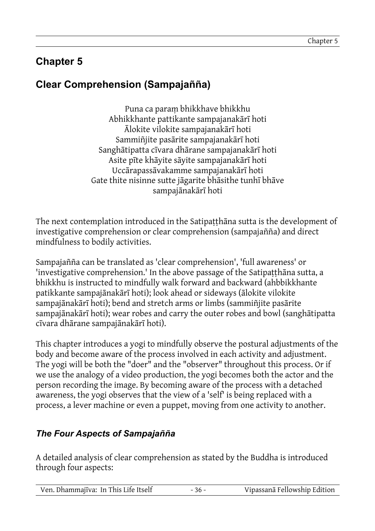## **Chapter 5**

# **Clear Comprehension (Sampajañña)**

Puna ca paraṃ bhikkhave bhikkhu Abhikkhante pattikante sampajanakārī hoti Ālokite vilokite sampajanakārī hoti Sammiñjite pasārite sampajanakārī hoti Sanghātipatta cīvara dhārane sampajanakārī hoti Asite pīte khāyite sāyite sampajanakārī hoti Uccārapassāvakamme sampajanakārī hoti Gate thite nisinne sutte jāgarite bhāsithe tunhī bhāve sampajānakārī hoti

The next contemplation introduced in the Satipaṭṭhāna sutta is the development of investigative comprehension or clear comprehension (sampajañña) and direct mindfulness to bodily activities.

Sampajañña can be translated as 'clear comprehension', 'full awareness' or 'investigative comprehension.' In the above passage of the Satipaṭṭhāna sutta, a bhikkhu is instructed to mindfully walk forward and backward (ahbbikkhante patikkante sampajānakārī hoti); look ahead or sideways (ālokite vilokite sampajānakārī hoti); bend and stretch arms or limbs (sammiñjite pasārite sampajānakārī hoti); wear robes and carry the outer robes and bowl (sanghātipatta cīvara dhārane sampajānakārī hoti).

This chapter introduces a yogi to mindfully observe the postural adjustments of the body and become aware of the process involved in each activity and adjustment. The yogi will be both the "doer" and the "observer" throughout this process. Or if we use the analogy of a video production, the yogi becomes both the actor and the person recording the image. By becoming aware of the process with a detached awareness, the yogi observes that the view of a 'self' is being replaced with a process, a lever machine or even a puppet, moving from one activity to another.

### *The Four Aspects of Sampajañña*

A detailed analysis of clear comprehension as stated by the Buddha is introduced through four aspects:

| Ven. Dhammajīva: In This Life Itself | Vipassanā Fellowship Edition |
|--------------------------------------|------------------------------|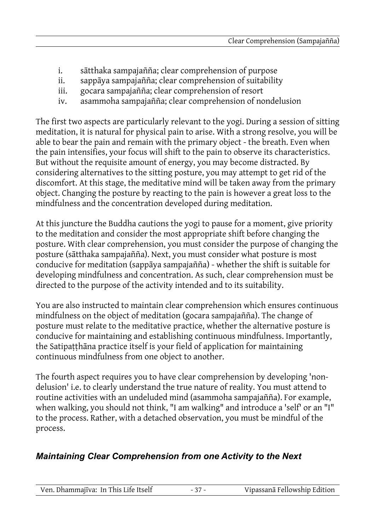- i. sātthaka sampajañña; clear comprehension of purpose
- ii. sappāya sampajañña; clear comprehension of suitability
- iii. gocara sampajañña; clear comprehension of resort
- iv. asammoha sampajañña; clear comprehension of nondelusion

The first two aspects are particularly relevant to the yogi. During a session of sitting meditation, it is natural for physical pain to arise. With a strong resolve, you will be able to bear the pain and remain with the primary object - the breath. Even when the pain intensifies, your focus will shift to the pain to observe its characteristics. But without the requisite amount of energy, you may become distracted. By considering alternatives to the sitting posture, you may attempt to get rid of the discomfort. At this stage, the meditative mind will be taken away from the primary object. Changing the posture by reacting to the pain is however a great loss to the mindfulness and the concentration developed during meditation.

At this juncture the Buddha cautions the yogi to pause for a moment, give priority to the meditation and consider the most appropriate shift before changing the posture. With clear comprehension, you must consider the purpose of changing the posture (sātthaka sampajañña). Next, you must consider what posture is most conducive for meditation (sappāya sampajañña) - whether the shift is suitable for developing mindfulness and concentration. As such, clear comprehension must be directed to the purpose of the activity intended and to its suitability.

You are also instructed to maintain clear comprehension which ensures continuous mindfulness on the object of meditation (gocara sampajañña). The change of posture must relate to the meditative practice, whether the alternative posture is conducive for maintaining and establishing continuous mindfulness. Importantly, the Satipaṭṭhāna practice itself is your field of application for maintaining continuous mindfulness from one object to another.

The fourth aspect requires you to have clear comprehension by developing 'nondelusion' i.e. to clearly understand the true nature of reality. You must attend to routine activities with an undeluded mind (asammoha sampajañña). For example, when walking, you should not think, "I am walking" and introduce a 'self' or an "I" to the process. Rather, with a detached observation, you must be mindful of the process.

#### *Maintaining Clear Comprehension from one Activity to the Next*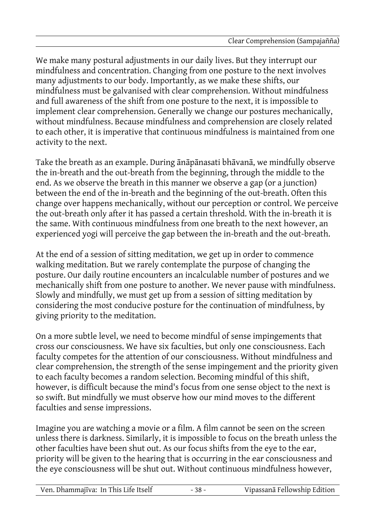We make many postural adjustments in our daily lives. But they interrupt our mindfulness and concentration. Changing from one posture to the next involves many adjustments to our body. Importantly, as we make these shifts, our mindfulness must be galvanised with clear comprehension. Without mindfulness and full awareness of the shift from one posture to the next, it is impossible to implement clear comprehension. Generally we change our postures mechanically, without mindfulness. Because mindfulness and comprehension are closely related to each other, it is imperative that continuous mindfulness is maintained from one activity to the next.

Take the breath as an example. During ānāpānasati bhāvanā, we mindfully observe the in-breath and the out-breath from the beginning, through the middle to the end. As we observe the breath in this manner we observe a gap (or a junction) between the end of the in-breath and the beginning of the out-breath. Often this change over happens mechanically, without our perception or control. We perceive the out-breath only after it has passed a certain threshold. With the in-breath it is the same. With continuous mindfulness from one breath to the next however, an experienced yogi will perceive the gap between the in-breath and the out-breath.

At the end of a session of sitting meditation, we get up in order to commence walking meditation. But we rarely contemplate the purpose of changing the posture. Our daily routine encounters an incalculable number of postures and we mechanically shift from one posture to another. We never pause with mindfulness. Slowly and mindfully, we must get up from a session of sitting meditation by considering the most conducive posture for the continuation of mindfulness, by giving priority to the meditation.

On a more subtle level, we need to become mindful of sense impingements that cross our consciousness. We have six faculties, but only one consciousness. Each faculty competes for the attention of our consciousness. Without mindfulness and clear comprehension, the strength of the sense impingement and the priority given to each faculty becomes a random selection. Becoming mindful of this shift, however, is difficult because the mind's focus from one sense object to the next is so swift. But mindfully we must observe how our mind moves to the different faculties and sense impressions.

Imagine you are watching a movie or a film. A film cannot be seen on the screen unless there is darkness. Similarly, it is impossible to focus on the breath unless the other faculties have been shut out. As our focus shifts from the eye to the ear, priority will be given to the hearing that is occurring in the ear consciousness and the eye consciousness will be shut out. Without continuous mindfulness however,

| Ven. Dhammajīva: In This Life Itself | $-38-$ | Vipassanā Fellowship Edition |
|--------------------------------------|--------|------------------------------|
|--------------------------------------|--------|------------------------------|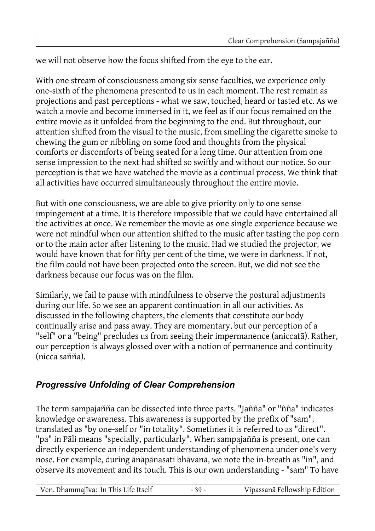we will not observe how the focus shifted from the eye to the ear.

With one stream of consciousness among six sense faculties, we experience only one-sixth of the phenomena presented to us in each moment. The rest remain as projections and past perceptions - what we saw, touched, heard or tasted etc. As we watch a movie and become immersed in it, we feel as if our focus remained on the entire movie as it unfolded from the beginning to the end. But throughout, our attention shifted from the visual to the music, from smelling the cigarette smoke to chewing the gum or nibbling on some food and thoughts from the physical comforts or discomforts of being seated for a long time. Our attention from one sense impression to the next had shifted so swiftly and without our notice. So our perception is that we have watched the movie as a continual process. We think that all activities have occurred simultaneously throughout the entire movie.

But with one consciousness, we are able to give priority only to one sense impingement at a time. It is therefore impossible that we could have entertained all the activities at once. We remember the movie as one single experience because we were not mindful when our attention shifted to the music after tasting the pop corn or to the main actor after listening to the music. Had we studied the projector, we would have known that for fifty per cent of the time, we were in darkness. If not, the film could not have been projected onto the screen. But, we did not see the darkness because our focus was on the film.

Similarly, we fail to pause with mindfulness to observe the postural adjustments during our life. So we see an apparent continuation in all our activities. As discussed in the following chapters, the elements that constitute our body continually arise and pass away. They are momentary, but our perception of a "self" or a "being" precludes us from seeing their impermanence (aniccatā). Rather, our perception is always glossed over with a notion of permanence and continuity (nicca sañña).

#### *Progressive Unfolding of Clear Comprehension*

The term sampajañña can be dissected into three parts. "Jañña" or "ñña" indicates knowledge or awareness. This awareness is supported by the prefix of "sam", translated as "by one-self or "in totality". Sometimes it is referred to as "direct". "pa" in Pāli means "specially, particularly". When sampajañña is present, one can directly experience an independent understanding of phenomena under one's very nose. For example, during ānāpānasati bhāvanā, we note the in-breath as "in", and observe its movement and its touch. This is our own understanding - "sam" To have

Ven. Dhammajīva: In This Life Itself - 39 - Vipassanā Fellowship Edition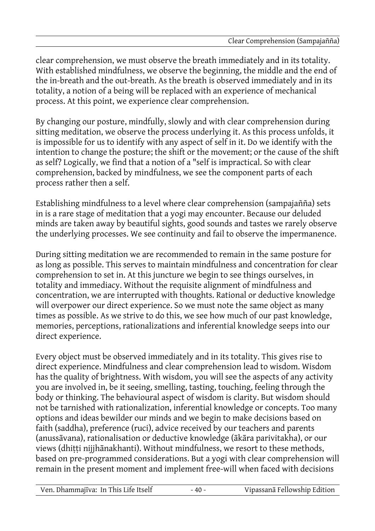clear comprehension, we must observe the breath immediately and in its totality. With established mindfulness, we observe the beginning, the middle and the end of the in-breath and the out-breath. As the breath is observed immediately and in its totality, a notion of a being will be replaced with an experience of mechanical process. At this point, we experience clear comprehension.

By changing our posture, mindfully, slowly and with clear comprehension during sitting meditation, we observe the process underlying it. As this process unfolds, it is impossible for us to identify with any aspect of self in it. Do we identify with the intention to change the posture; the shift or the movement; or the cause of the shift as self? Logically, we find that a notion of a "self is impractical. So with clear comprehension, backed by mindfulness, we see the component parts of each process rather then a self.

Establishing mindfulness to a level where clear comprehension (sampajañña) sets in is a rare stage of meditation that a yogi may encounter. Because our deluded minds are taken away by beautiful sights, good sounds and tastes we rarely observe the underlying processes. We see continuity and fail to observe the impermanence.

During sitting meditation we are recommended to remain in the same posture for as long as possible. This serves to maintain mindfulness and concentration for clear comprehension to set in. At this juncture we begin to see things ourselves, in totality and immediacy. Without the requisite alignment of mindfulness and concentration, we are interrupted with thoughts. Rational or deductive knowledge will overpower our direct experience. So we must note the same object as many times as possible. As we strive to do this, we see how much of our past knowledge, memories, perceptions, rationalizations and inferential knowledge seeps into our direct experience.

Every object must be observed immediately and in its totality. This gives rise to direct experience. Mindfulness and clear comprehension lead to wisdom. Wisdom has the quality of brightness. With wisdom, you will see the aspects of any activity you are involved in, be it seeing, smelling, tasting, touching, feeling through the body or thinking. The behavioural aspect of wisdom is clarity. But wisdom should not be tarnished with rationalization, inferential knowledge or concepts. Too many options and ideas bewilder our minds and we begin to make decisions based on faith (saddha), preference (ruci), advice received by our teachers and parents (anussāvana), rationalisation or deductive knowledge (ākāra parivitakha), or our views (dhitti nijjhānakhanti). Without mindfulness, we resort to these methods, based on pre-programmed considerations. But a yogi with clear comprehension will remain in the present moment and implement free-will when faced with decisions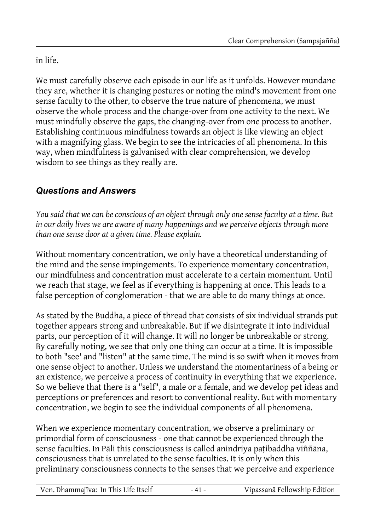in life.

We must carefully observe each episode in our life as it unfolds. However mundane they are, whether it is changing postures or noting the mind's movement from one sense faculty to the other, to observe the true nature of phenomena, we must observe the whole process and the change-over from one activity to the next. We must mindfully observe the gaps, the changing-over from one process to another. Establishing continuous mindfulness towards an object is like viewing an object with a magnifying glass. We begin to see the intricacies of all phenomena. In this way, when mindfulness is galvanised with clear comprehension, we develop wisdom to see things as they really are.

## *Questions and Answers*

*You said that we can be conscious of an object through only one sense faculty at a time. But in our daily lives we are aware of many happenings and we perceive objects through more than one sense door at a given time. Please explain.*

Without momentary concentration, we only have a theoretical understanding of the mind and the sense impingements. To experience momentary concentration, our mindfulness and concentration must accelerate to a certain momentum. Until we reach that stage, we feel as if everything is happening at once. This leads to a false perception of conglomeration - that we are able to do many things at once.

As stated by the Buddha, a piece of thread that consists of six individual strands put together appears strong and unbreakable. But if we disintegrate it into individual parts, our perception of it will change. It will no longer be unbreakable or strong. By carefully noting, we see that only one thing can occur at a time. It is impossible to both "see' and "listen" at the same time. The mind is so swift when it moves from one sense object to another. Unless we understand the momentariness of a being or an existence, we perceive a process of continuity in everything that we experience. So we believe that there is a "self", a male or a female, and we develop pet ideas and perceptions or preferences and resort to conventional reality. But with momentary concentration, we begin to see the individual components of all phenomena.

When we experience momentary concentration, we observe a preliminary or primordial form of consciousness - one that cannot be experienced through the sense faculties. In Pāli this consciousness is called anindriya paṭibaddha viññāna, consciousness that is unrelated to the sense faculties. It is only when this preliminary consciousness connects to the senses that we perceive and experience

| Ven. Dhammajīva: In This Life Itself | - 41 - | Vipassanā Fellowship Edition |
|--------------------------------------|--------|------------------------------|
|                                      |        |                              |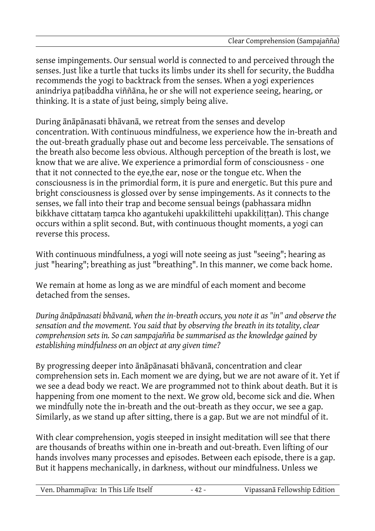sense impingements. Our sensual world is connected to and perceived through the senses. Just like a turtle that tucks its limbs under its shell for security, the Buddha recommends the yogi to backtrack from the senses. When a yogi experiences anindriya paṭibaddha viññāna, he or she will not experience seeing, hearing, or thinking. It is a state of just being, simply being alive.

During ānāpānasati bhāvanā, we retreat from the senses and develop concentration. With continuous mindfulness, we experience how the in-breath and the out-breath gradually phase out and become less perceivable. The sensations of the breath also become less obvious. Although perception of the breath is lost, we know that we are alive. We experience a primordial form of consciousness - one that it not connected to the eye,the ear, nose or the tongue etc. When the consciousness is in the primordial form, it is pure and energetic. But this pure and bright consciousness is glossed over by sense impingements. As it connects to the senses, we fall into their trap and become sensual beings (pabhassara midhn bikkhave cittatam tamca kho agantukehi upakkilittehi upakkilittan). This change occurs within a split second. But, with continuous thought moments, a yogi can reverse this process.

With continuous mindfulness, a yogi will note seeing as just "seeing"; hearing as just "hearing"; breathing as just "breathing". In this manner, we come back home.

We remain at home as long as we are mindful of each moment and become detached from the senses.

*During ānāpānasati bhāvanā, when the in-breath occurs, you note it as "in" and observe the sensation and the movement. You said that by observing the breath in its totality, clear comprehension sets in. So can sampajañña be summarised as the knowledge gained by establishing mindfulness on an object at any given time?*

By progressing deeper into ānāpānasati bhāvanā, concentration and clear comprehension sets in. Each moment we are dying, but we are not aware of it. Yet if we see a dead body we react. We are programmed not to think about death. But it is happening from one moment to the next. We grow old, become sick and die. When we mindfully note the in-breath and the out-breath as they occur, we see a gap. Similarly, as we stand up after sitting, there is a gap. But we are not mindful of it.

With clear comprehension, yogis steeped in insight meditation will see that there are thousands of breaths within one in-breath and out-breath. Even lifting of our hands involves many processes and episodes. Between each episode, there is a gap. But it happens mechanically, in darkness, without our mindfulness. Unless we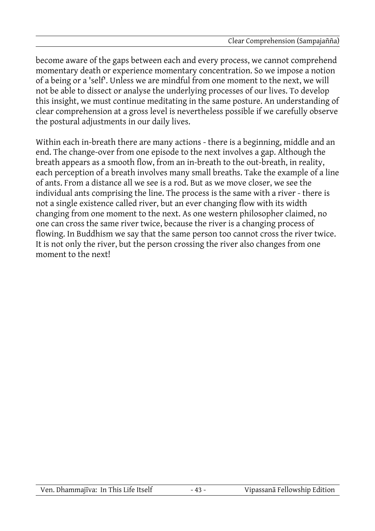become aware of the gaps between each and every process, we cannot comprehend momentary death or experience momentary concentration. So we impose a notion of a being or a 'self'. Unless we are mindful from one moment to the next, we will not be able to dissect or analyse the underlying processes of our lives. To develop this insight, we must continue meditating in the same posture. An understanding of clear comprehension at a gross level is nevertheless possible if we carefully observe the postural adjustments in our daily lives.

Within each in-breath there are many actions - there is a beginning, middle and an end. The change-over from one episode to the next involves a gap. Although the breath appears as a smooth flow, from an in-breath to the out-breath, in reality, each perception of a breath involves many small breaths. Take the example of a line of ants. From a distance all we see is a rod. But as we move closer, we see the individual ants comprising the line. The process is the same with a river - there is not a single existence called river, but an ever changing flow with its width changing from one moment to the next. As one western philosopher claimed, no one can cross the same river twice, because the river is a changing process of flowing. In Buddhism we say that the same person too cannot cross the river twice. It is not only the river, but the person crossing the river also changes from one moment to the next!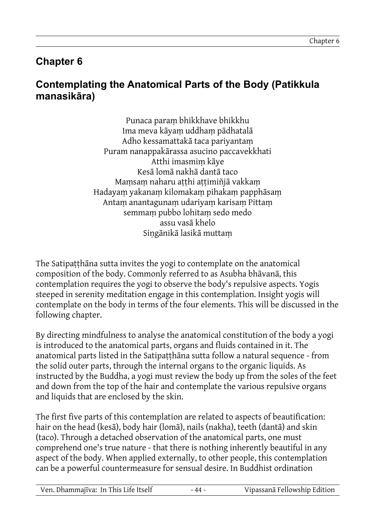## **Chapter 6**

### **Contemplating the Anatomical Parts of the Body (Patikkula manasikāra)**

Punaca paraṃ bhikkhave bhikkhu Ima meva kāyaṃ uddhaṃ pādhatalā Adho kessamattakā taca pariyantaṃ Puram nanappakārassa asucino paccavekkhati Atthi imasmiṃ kāye Kesā lomā nakhā dantā taco Mamsam naharu atthi attimiñjā vakkam Hadayaṃ yakanaṃ kilomakaṃ pihakaṃ papphāsaṃ Antaṃ anantagunaṃ udariyaṃ karisaṃ Pittaṃ semmaṃ pubbo lohitaṃ sedo medo assu vasā khelo Siṇgānikā lasikā muttaṃ

The Satipaṭṭhāna sutta invites the yogi to contemplate on the anatomical composition of the body. Commonly referred to as Asubha bhāvanā, this contemplation requires the yogi to observe the body's repulsive aspects. Yogis steeped in serenity meditation engage in this contemplation. Insight yogis will contemplate on the body in terms of the four elements. This will be discussed in the following chapter.

By directing mindfulness to analyse the anatomical constitution of the body a yogi is introduced to the anatomical parts, organs and fluids contained in it. The anatomical parts listed in the Satipatthana sutta follow a natural sequence - from the solid outer parts, through the internal organs to the organic liquids. As instructed by the Buddha, a yogi must review the body up from the soles of the feet and down from the top of the hair and contemplate the various repulsive organs and liquids that are enclosed by the skin.

The first five parts of this contemplation are related to aspects of beautification: hair on the head (kesā), body hair (lomā), nails (nakha), teeth (dantā) and skin (taco). Through a detached observation of the anatomical parts, one must comprehend one's true nature - that there is nothing inherently beautiful in any aspect of the body. When applied externally, to other people, this contemplation can be a powerful countermeasure for sensual desire. In Buddhist ordination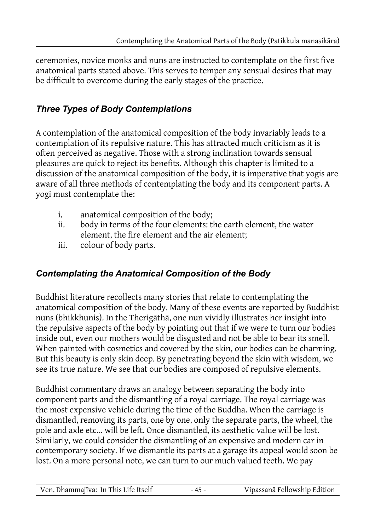ceremonies, novice monks and nuns are instructed to contemplate on the first five anatomical parts stated above. This serves to temper any sensual desires that may be difficult to overcome during the early stages of the practice.

### *Three Types of Body Contemplations*

A contemplation of the anatomical composition of the body invariably leads to a contemplation of its repulsive nature. This has attracted much criticism as it is often perceived as negative. Those with a strong inclination towards sensual pleasures are quick to reject its benefits. Although this chapter is limited to a discussion of the anatomical composition of the body, it is imperative that yogis are aware of all three methods of contemplating the body and its component parts. A yogi must contemplate the:

- i. anatomical composition of the body;
- ii. body in terms of the four elements: the earth element, the water element, the fire element and the air element;
- iii. colour of body parts.

### *Contemplating the Anatomical Composition of the Body*

Buddhist literature recollects many stories that relate to contemplating the anatomical composition of the body. Many of these events are reported by Buddhist nuns (bhikkhunis). In the Therigāthā, one nun vividly illustrates her insight into the repulsive aspects of the body by pointing out that if we were to turn our bodies inside out, even our mothers would be disgusted and not be able to bear its smell. When painted with cosmetics and covered by the skin, our bodies can be charming. But this beauty is only skin deep. By penetrating beyond the skin with wisdom, we see its true nature. We see that our bodies are composed of repulsive elements.

Buddhist commentary draws an analogy between separating the body into component parts and the dismantling of a royal carriage. The royal carriage was the most expensive vehicle during the time of the Buddha. When the carriage is dismantled, removing its parts, one by one, only the separate parts, the wheel, the pole and axle etc... will be left. Once dismantled, its aesthetic value will be lost. Similarly, we could consider the dismantling of an expensive and modern car in contemporary society. If we dismantle its parts at a garage its appeal would soon be lost. On a more personal note, we can turn to our much valued teeth. We pay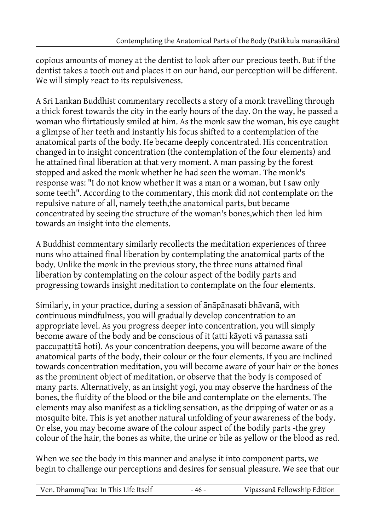copious amounts of money at the dentist to look after our precious teeth. But if the dentist takes a tooth out and places it on our hand, our perception will be different. We will simply react to its repulsiveness.

A Sri Lankan Buddhist commentary recollects a story of a monk travelling through a thick forest towards the city in the early hours of the day. On the way, he passed a woman who flirtatiously smiled at him. As the monk saw the woman, his eye caught a glimpse of her teeth and instantly his focus shifted to a contemplation of the anatomical parts of the body. He became deeply concentrated. His concentration changed in to insight concentration (the contemplation of the four elements) and he attained final liberation at that very moment. A man passing by the forest stopped and asked the monk whether he had seen the woman. The monk's response was: "I do not know whether it was a man or a woman, but I saw only some teeth". According to the commentary, this monk did not contemplate on the repulsive nature of all, namely teeth,the anatomical parts, but became concentrated by seeing the structure of the woman's bones,which then led him towards an insight into the elements.

A Buddhist commentary similarly recollects the meditation experiences of three nuns who attained final liberation by contemplating the anatomical parts of the body. Unlike the monk in the previous story, the three nuns attained final liberation by contemplating on the colour aspect of the bodily parts and progressing towards insight meditation to contemplate on the four elements.

Similarly, in your practice, during a session of ānāpānasati bhāvanā, with continuous mindfulness, you will gradually develop concentration to an appropriate level. As you progress deeper into concentration, you will simply become aware of the body and be conscious of it (atti kāyoti vā panassa sati paccupaṭṭitā hoti). As your concentration deepens, you will become aware of the anatomical parts of the body, their colour or the four elements. If you are inclined towards concentration meditation, you will become aware of your hair or the bones as the prominent object of meditation, or observe that the body is composed of many parts. Alternatively, as an insight yogi, you may observe the hardness of the bones, the fluidity of the blood or the bile and contemplate on the elements. The elements may also manifest as a tickling sensation, as the dripping of water or as a mosquito bite. This is yet another natural unfolding of your awareness of the body. Or else, you may become aware of the colour aspect of the bodily parts -the grey colour of the hair, the bones as white, the urine or bile as yellow or the blood as red.

When we see the body in this manner and analyse it into component parts, we begin to challenge our perceptions and desires for sensual pleasure. We see that our

| Ven. Dhammajīva: In This Life Itself | - 46 - | Vipassanā Fellowship Edition |
|--------------------------------------|--------|------------------------------|
|                                      |        |                              |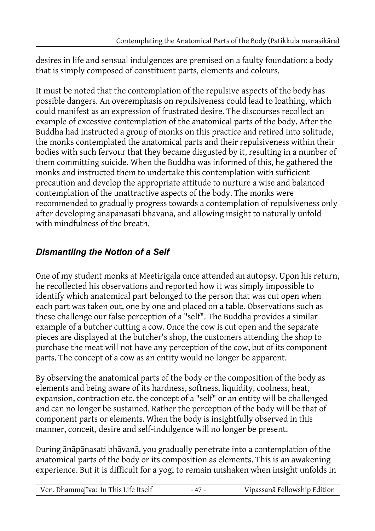desires in life and sensual indulgences are premised on a faulty foundation: a body that is simply composed of constituent parts, elements and colours.

It must be noted that the contemplation of the repulsive aspects of the body has possible dangers. An overemphasis on repulsiveness could lead to loathing, which could manifest as an expression of frustrated desire. The discourses recollect an example of excessive contemplation of the anatomical parts of the body. After the Buddha had instructed a group of monks on this practice and retired into solitude, the monks contemplated the anatomical parts and their repulsiveness within their bodies with such fervour that they became disgusted by it, resulting in a number of them committing suicide. When the Buddha was informed of this, he gathered the monks and instructed them to undertake this contemplation with sufficient precaution and develop the appropriate attitude to nurture a wise and balanced contemplation of the unattractive aspects of the body. The monks were recommended to gradually progress towards a contemplation of repulsiveness only after developing ānāpānasati bhāvanā, and allowing insight to naturally unfold with mindfulness of the breath.

## *Dismantling the Notion of a Self*

One of my student monks at Meetirigala once attended an autopsy. Upon his return, he recollected his observations and reported how it was simply impossible to identify which anatomical part belonged to the person that was cut open when each part was taken out, one by one and placed on a table. Observations such as these challenge our false perception of a "self". The Buddha provides a similar example of a butcher cutting a cow. Once the cow is cut open and the separate pieces are displayed at the butcher's shop, the customers attending the shop to purchase the meat will not have any perception of the cow, but of its component parts. The concept of a cow as an entity would no longer be apparent.

By observing the anatomical parts of the body or the composition of the body as elements and being aware of its hardness, softness, liquidity, coolness, heat, expansion, contraction etc. the concept of a "self" or an entity will be challenged and can no longer be sustained. Rather the perception of the body will be that of component parts or elements. When the body is insightfully observed in this manner, conceit, desire and self-indulgence will no longer be present.

During ānāpānasati bhāvanā, you gradually penetrate into a contemplation of the anatomical parts of the body or its composition as elements. This is an awakening experience. But it is difficult for a yogi to remain unshaken when insight unfolds in

| Ven. Dhammajīva: In This Life Itself | Vipassanā Fellowship Edition |
|--------------------------------------|------------------------------|
|                                      |                              |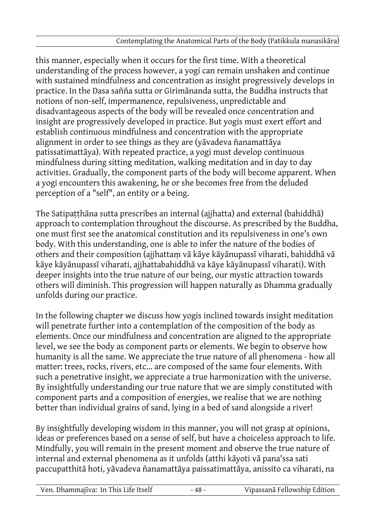this manner, especially when it occurs for the first time. With a theoretical understanding of the process however, a yogi can remain unshaken and continue with sustained mindfulness and concentration as insight progressively develops in practice. In the Dasa sañña sutta or Girimānanda sutta, the Buddha instructs that notions of non-self, impermanence, repulsiveness, unpredictable and disadvantageous aspects of the body will be revealed once concentration and insight are progressively developed in practice. But yogis must exert effort and establish continuous mindfulness and concentration with the appropriate alignment in order to see things as they are (yāvadeva ñanamattāya patissatimattāya). With repeated practice, a yogi must develop continuous mindfulness during sitting meditation, walking meditation and in day to day activities. Gradually, the component parts of the body will become apparent. When a yogi encounters this awakening, he or she becomes free from the deluded perception of a "self", an entity or a being.

The Satipaṭṭhāna sutta prescribes an internal (ajjhatta) and external (bahiddhā) approach to contemplation throughout the discourse. As prescribed by the Buddha, one must first see the anatomical constitution and its repulsiveness in one's own body. With this understanding, one is able to infer the nature of the bodies of others and their composition (ajjhattaṃ vā kāye kāyānupassī viharati, bahiddhā vā kāye kāyānupassī viharati, ajjhattabahiddhā va kāye kāyānupassī viharati). With deeper insights into the true nature of our being, our mystic attraction towards others will diminish. This progression will happen naturally as Dhamma gradually unfolds during our practice.

In the following chapter we discuss how yogis inclined towards insight meditation will penetrate further into a contemplation of the composition of the body as elements. Once our mindfulness and concentration are aligned to the appropriate level, we see the body as component parts or elements. We begin to observe how humanity is all the same. We appreciate the true nature of all phenomena - how all matter: trees, rocks, rivers, etc... are composed of the same four elements. With such a penetrative insight, we appreciate a true harmonization with the universe. By insightfully understanding our true nature that we are simply constituted with component parts and a composition of energies, we realise that we are nothing better than individual grains of sand, lying in a bed of sand alongside a river!

By insightfully developing wisdom in this manner, you will not grasp at opinions, ideas or preferences based on a sense of self, but have a choiceless approach to life. Mindfully, you will remain in the present moment and observe the true nature of internal and external phenomena as it unfolds (atthi kāyoti vā pana'ssa sati paccupatthitā hoti, yāvadeva ñanamattāya paissatimattāya, anissito ca viharati, na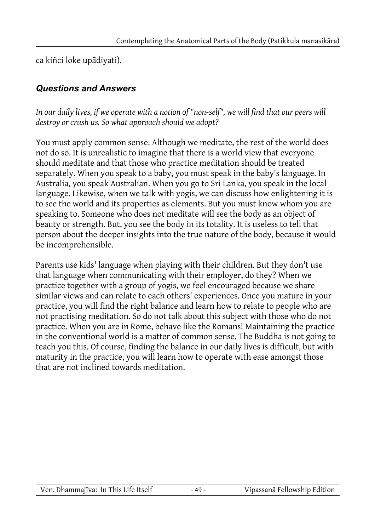ca kiñci loke upādiyati).

#### *Questions and Answers*

*In our daily lives, if we operate with a notion of "non-self", we will find that our peers will destroy or crush us. So what approach should we adopt?*

You must apply common sense. Although we meditate, the rest of the world does not do so. It is unrealistic to imagine that there is a world view that everyone should meditate and that those who practice meditation should be treated separately. When you speak to a baby, you must speak in the baby's language. In Australia, you speak Australian. When you go to Sri Lanka, you speak in the local language. Likewise, when we talk with yogis, we can discuss how enlightening it is to see the world and its properties as elements. But you must know whom you are speaking to. Someone who does not meditate will see the body as an object of beauty or strength. But, you see the body in its totality. It is useless to tell that person about the deeper insights into the true nature of the body, because it would be incomprehensible.

Parents use kids' language when playing with their children. But they don't use that language when communicating with their employer, do they? When we practice together with a group of yogis, we feel encouraged because we share similar views and can relate to each others' experiences. Once you mature in your practice, you will find the right balance and learn how to relate to people who are not practising meditation. So do not talk about this subject with those who do not practice. When you are in Rome, behave like the Romans! Maintaining the practice in the conventional world is a matter of common sense. The Buddha is not going to teach you this. Of course, finding the balance in our daily lives is difficult, but with maturity in the practice, you will learn how to operate with ease amongst those that are not inclined towards meditation.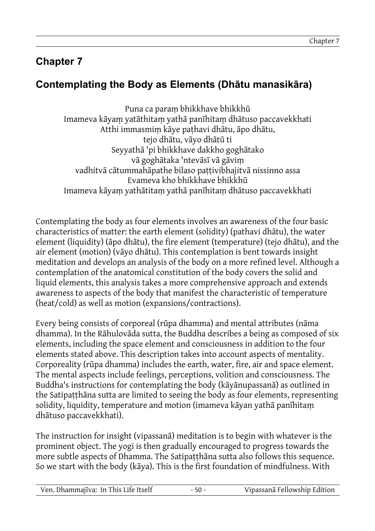## **Chapter 7**

# **Contemplating the Body as Elements (Dhātu manasikāra)**

Puna ca paraṃ bhikkhave bhikkhū Imameva kāyaṃ yatāthitaṃ yathā panīhitaṃ dhātuso paccavekkhati Atthi immasmiṃ kāye paṭhavi dhātu, āpo dhātu, tejo dhātu, vāyo dhātū ti Seyyathā 'pi bhikkhave dakkho goghātako vā goghātaka 'ntevāsī vā gāviṃ vadhitvā cātummahāpathe bilaso pattivibhajitvā nissinno assa Evameva kho bhikkhave bhikkhū Imameva kāyaṃ yathātitaṃ yathā panīhitaṃ dhātuso paccavekkhati

Contemplating the body as four elements involves an awareness of the four basic characteristics of matter: the earth element (solidity) (pathavi dhātu), the water element (liquidity) (āpo dhātu), the fire element (temperature) (tejo dhātu), and the air element (motion) (vāyo dhātu). This contemplation is bent towards insight meditation and develops an analysis of the body on a more refined level. Although a contemplation of the anatomical constitution of the body covers the solid and liquid elements, this analysis takes a more comprehensive approach and extends awareness to aspects of the body that manifest the characteristic of temperature (heat/cold) as well as motion (expansions/contractions).

Every being consists of corporeal (rūpa dhamma) and mental attributes (nāma dhamma). In the Rāhulovāda sutta, the Buddha describes a being as composed of six elements, including the space element and consciousness in addition to the four elements stated above. This description takes into account aspects of mentality. Corporeality (rūpa dhamma) includes the earth, water, fire, air and space element. The mental aspects include feelings, perceptions, volition and consciousness. The Buddha's instructions for contemplating the body (kāyānupassanā) as outlined in the Satipaṭṭhāna sutta are limited to seeing the body as four elements, representing solidity, liquidity, temperature and motion (imameva kāyan yathā panīhitaṃ dhātuso paccavekkhati).

The instruction for insight (vipassanā) meditation is to begin with whatever is the prominent object. The yogi is then gradually encouraged to progress towards the more subtle aspects of Dhamma. The Satipatthana sutta also follows this sequence. So we start with the body (kāya). This is the first foundation of mindfulness. With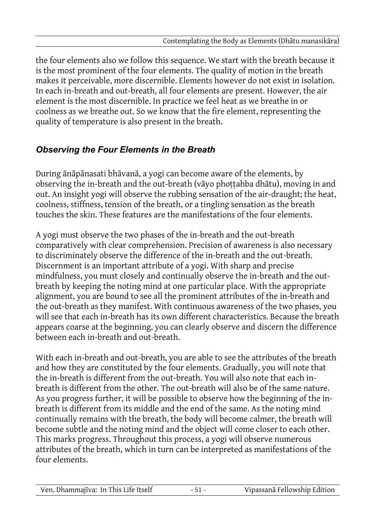the four elements also we follow this sequence. We start with the breath because it is the most prominent of the four elements. The quality of motion in the breath makes it perceivable, more discernible. Elements however do not exist in isolation. In each in-breath and out-breath, all four elements are present. However, the air element is the most discernible. In practice we feel heat as we breathe in or coolness as we breathe out. So we know that the fire element, representing the quality of temperature is also present in the breath.

### *Observing the Four Elements in the Breath*

During ānāpānasati bhāvanā, a yogi can become aware of the elements, by observing the in-breath and the out-breath (vāyo phoṭṭahba dhātu), moving in and out. An insight yogi will observe the rubbing sensation of the air-draught; the heat, coolness, stiffness, tension of the breath, or a tingling sensation as the breath touches the skin. These features are the manifestations of the four elements.

A yogi must observe the two phases of the in-breath and the out-breath comparatively with clear comprehension. Precision of awareness is also necessary to discriminately observe the difference of the in-breath and the out-breath. Discernment is an important attribute of a yogi. With sharp and precise mindfulness, you must closely and continually observe the in-breath and the outbreath by keeping the noting mind at one particular place. With the appropriate alignment, you are bound to see all the prominent attributes of the in-breath and the out-breath as they manifest. With continuous awareness of the two phases, you will see that each in-breath has its own different characteristics. Because the breath appears coarse at the beginning, you can clearly observe and discern the difference between each in-breath and out-breath.

With each in-breath and out-breath, you are able to see the attributes of the breath and how they are constituted by the four elements. Gradually, you will note that the in-breath is different from the out-breath. You will also note that each inbreath is different from the other. The out-breath will also be of the same nature. As you progress further, it will be possible to observe how the beginning of the inbreath is different from its middle and the end of the same. As the noting mind continually remains with the breath, the body will become calmer, the breath will become subtle and the noting mind and the object will come closer to each other. This marks progress. Throughout this process, a yogi will observe numerous attributes of the breath, which in turn can be interpreted as manifestations of the four elements.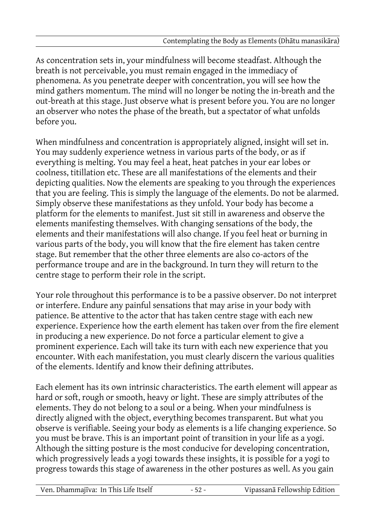As concentration sets in, your mindfulness will become steadfast. Although the breath is not perceivable, you must remain engaged in the immediacy of phenomena. As you penetrate deeper with concentration, you will see how the mind gathers momentum. The mind will no longer be noting the in-breath and the out-breath at this stage. Just observe what is present before you. You are no longer an observer who notes the phase of the breath, but a spectator of what unfolds before you.

When mindfulness and concentration is appropriately aligned, insight will set in. You may suddenly experience wetness in various parts of the body, or as if everything is melting. You may feel a heat, heat patches in your ear lobes or coolness, titillation etc. These are all manifestations of the elements and their depicting qualities. Now the elements are speaking to you through the experiences that you are feeling. This is simply the language of the elements. Do not be alarmed. Simply observe these manifestations as they unfold. Your body has become a platform for the elements to manifest. Just sit still in awareness and observe the elements manifesting themselves. With changing sensations of the body, the elements and their manifestations will also change. If you feel heat or burning in various parts of the body, you will know that the fire element has taken centre stage. But remember that the other three elements are also co-actors of the performance troupe and are in the background. In turn they will return to the centre stage to perform their role in the script.

Your role throughout this performance is to be a passive observer. Do not interpret or interfere. Endure any painful sensations that may arise in your body with patience. Be attentive to the actor that has taken centre stage with each new experience. Experience how the earth element has taken over from the fire element in producing a new experience. Do not force a particular element to give a prominent experience. Each will take its turn with each new experience that you encounter. With each manifestation, you must clearly discern the various qualities of the elements. Identify and know their defining attributes.

Each element has its own intrinsic characteristics. The earth element will appear as hard or soft, rough or smooth, heavy or light. These are simply attributes of the elements. They do not belong to a soul or a being. When your mindfulness is directly aligned with the object, everything becomes transparent. But what you observe is verifiable. Seeing your body as elements is a life changing experience. So you must be brave. This is an important point of transition in your life as a yogi. Although the sitting posture is the most conducive for developing concentration, which progressively leads a yogi towards these insights, it is possible for a yogi to progress towards this stage of awareness in the other postures as well. As you gain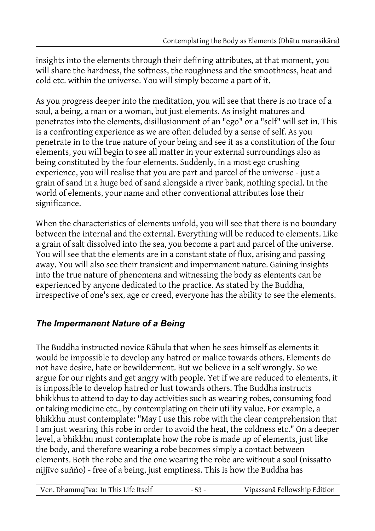insights into the elements through their defining attributes, at that moment, you will share the hardness, the softness, the roughness and the smoothness, heat and cold etc. within the universe. You will simply become a part of it.

As you progress deeper into the meditation, you will see that there is no trace of a soul, a being, a man or a woman, but just elements. As insight matures and penetrates into the elements, disillusionment of an "ego" or a "self" will set in. This is a confronting experience as we are often deluded by a sense of self. As you penetrate in to the true nature of your being and see it as a constitution of the four elements, you will begin to see all matter in your external surroundings also as being constituted by the four elements. Suddenly, in a most ego crushing experience, you will realise that you are part and parcel of the universe - just a grain of sand in a huge bed of sand alongside a river bank, nothing special. In the world of elements, your name and other conventional attributes lose their significance.

When the characteristics of elements unfold, you will see that there is no boundary between the internal and the external. Everything will be reduced to elements. Like a grain of salt dissolved into the sea, you become a part and parcel of the universe. You will see that the elements are in a constant state of flux, arising and passing away. You will also see their transient and impermanent nature. Gaining insights into the true nature of phenomena and witnessing the body as elements can be experienced by anyone dedicated to the practice. As stated by the Buddha, irrespective of one's sex, age or creed, everyone has the ability to see the elements.

### *The Impermanent Nature of a Being*

The Buddha instructed novice Rāhula that when he sees himself as elements it would be impossible to develop any hatred or malice towards others. Elements do not have desire, hate or bewilderment. But we believe in a self wrongly. So we argue for our rights and get angry with people. Yet if we are reduced to elements, it is impossible to develop hatred or lust towards others. The Buddha instructs bhikkhus to attend to day to day activities such as wearing robes, consuming food or taking medicine etc., by contemplating on their utility value. For example, a bhikkhu must contemplate: "May I use this robe with the clear comprehension that I am just wearing this robe in order to avoid the heat, the coldness etc." On a deeper level, a bhikkhu must contemplate how the robe is made up of elements, just like the body, and therefore wearing a robe becomes simply a contact between elements. Both the robe and the one wearing the robe are without a soul (nissatto nijjīvo suñño) - free of a being, just emptiness. This is how the Buddha has

Ven. Dhammajīva: In This Life Itself - 53 - Vipassanā Fellowship Edition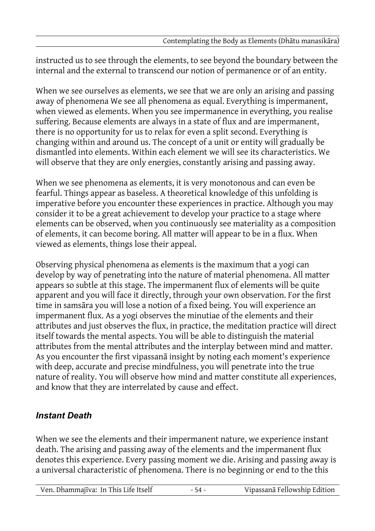instructed us to see through the elements, to see beyond the boundary between the internal and the external to transcend our notion of permanence or of an entity.

When we see ourselves as elements, we see that we are only an arising and passing away of phenomena We see all phenomena as equal. Everything is impermanent, when viewed as elements. When you see impermanence in everything, you realise suffering. Because elements are always in a state of flux and are impermanent, there is no opportunity for us to relax for even a split second. Everything is changing within and around us. The concept of a unit or entity will gradually be dismantled into elements. Within each element we will see its characteristics. We will observe that they are only energies, constantly arising and passing away.

When we see phenomena as elements, it is very monotonous and can even be fearful. Things appear as baseless. A theoretical knowledge of this unfolding is imperative before you encounter these experiences in practice. Although you may consider it to be a great achievement to develop your practice to a stage where elements can be observed, when you continuously see materiality as a composition of elements, it can become boring. All matter will appear to be in a flux. When viewed as elements, things lose their appeal.

Observing physical phenomena as elements is the maximum that a yogi can develop by way of penetrating into the nature of material phenomena. All matter appears so subtle at this stage. The impermanent flux of elements will be quite apparent and you will face it directly, through your own observation. For the first time in samsāra you will lose a notion of a fixed being. You will experience an impermanent flux. As a yogi observes the minutiae of the elements and their attributes and just observes the flux, in practice, the meditation practice will direct itself towards the mental aspects. You will be able to distinguish the material attributes from the mental attributes and the interplay between mind and matter. As you encounter the first vipassanā insight by noting each moment's experience with deep, accurate and precise mindfulness, you will penetrate into the true nature of reality. You will observe how mind and matter constitute all experiences, and know that they are interrelated by cause and effect.

#### *Instant Death*

When we see the elements and their impermanent nature, we experience instant death. The arising and passing away of the elements and the impermanent flux denotes this experience. Every passing moment we die. Arising and passing away is a universal characteristic of phenomena. There is no beginning or end to the this

| Ven. Dhammajīva: In This Life Itself | - 54 - | Vipassanā Fellowship Edition |
|--------------------------------------|--------|------------------------------|
|                                      |        |                              |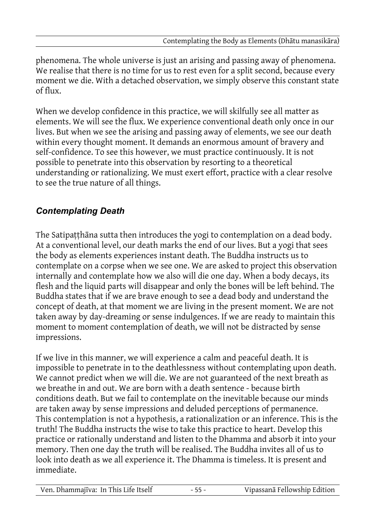phenomena. The whole universe is just an arising and passing away of phenomena. We realise that there is no time for us to rest even for a split second, because every moment we die. With a detached observation, we simply observe this constant state of flux.

When we develop confidence in this practice, we will skilfully see all matter as elements. We will see the flux. We experience conventional death only once in our lives. But when we see the arising and passing away of elements, we see our death within every thought moment. It demands an enormous amount of bravery and self-confidence. To see this however, we must practice continuously. It is not possible to penetrate into this observation by resorting to a theoretical understanding or rationalizing. We must exert effort, practice with a clear resolve to see the true nature of all things.

### *Contemplating Death*

The Satipaṭṭhāna sutta then introduces the yogi to contemplation on a dead body. At a conventional level, our death marks the end of our lives. But a yogi that sees the body as elements experiences instant death. The Buddha instructs us to contemplate on a corpse when we see one. We are asked to project this observation internally and contemplate how we also will die one day. When a body decays, its flesh and the liquid parts will disappear and only the bones will be left behind. The Buddha states that if we are brave enough to see a dead body and understand the concept of death, at that moment we are living in the present moment. We are not taken away by day-dreaming or sense indulgences. If we are ready to maintain this moment to moment contemplation of death, we will not be distracted by sense impressions.

If we live in this manner, we will experience a calm and peaceful death. It is impossible to penetrate in to the deathlessness without contemplating upon death. We cannot predict when we will die. We are not guaranteed of the next breath as we breathe in and out. We are born with a death sentence - because birth conditions death. But we fail to contemplate on the inevitable because our minds are taken away by sense impressions and deluded perceptions of permanence. This contemplation is not a hypothesis, a rationalization or an inference. This is the truth! The Buddha instructs the wise to take this practice to heart. Develop this practice or rationally understand and listen to the Dhamma and absorb it into your memory. Then one day the truth will be realised. The Buddha invites all of us to look into death as we all experience it. The Dhamma is timeless. It is present and immediate.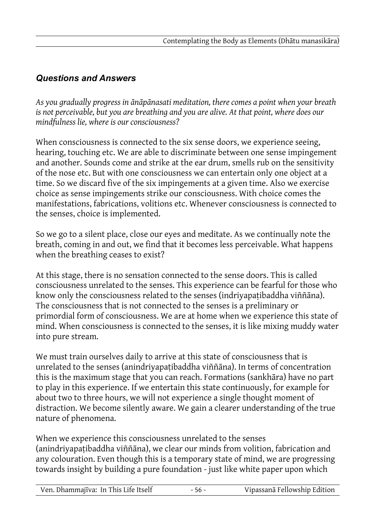#### *Questions and Answers*

*As you gradually progress in ānāpānasati meditation, there comes a point when your breath is not perceivable, but you are breathing and you are alive. At that point, where does our mindfulness lie, where is our consciousness?*

When consciousness is connected to the six sense doors, we experience seeing, hearing, touching etc. We are able to discriminate between one sense impingement and another. Sounds come and strike at the ear drum, smells rub on the sensitivity of the nose etc. But with one consciousness we can entertain only one object at a time. So we discard five of the six impingements at a given time. Also we exercise choice as sense impingements strike our consciousness. With choice comes the manifestations, fabrications, volitions etc. Whenever consciousness is connected to the senses, choice is implemented.

So we go to a silent place, close our eyes and meditate. As we continually note the breath, coming in and out, we find that it becomes less perceivable. What happens when the breathing ceases to exist?

At this stage, there is no sensation connected to the sense doors. This is called consciousness unrelated to the senses. This experience can be fearful for those who know only the consciousness related to the senses (indriyapatibaddha viññāna). The consciousness that is not connected to the senses is a preliminary or primordial form of consciousness. We are at home when we experience this state of mind. When consciousness is connected to the senses, it is like mixing muddy water into pure stream.

We must train ourselves daily to arrive at this state of consciousness that is unrelated to the senses (anindriyapaṭibaddha viññāna). In terms of concentration this is the maximum stage that you can reach. Formations (sankhāra) have no part to play in this experience. If we entertain this state continuously, for example for about two to three hours, we will not experience a single thought moment of distraction. We become silently aware. We gain a clearer understanding of the true nature of phenomena.

When we experience this consciousness unrelated to the senses (anindriyapaṭibaddha viññāna), we clear our minds from volition, fabrication and any colouration. Even though this is a temporary state of mind, we are progressing towards insight by building a pure foundation - just like white paper upon which

| Ven. Dhammajīva: In This Life Itself | - 56 - | Vipassanā Fellowship Edition |
|--------------------------------------|--------|------------------------------|
|--------------------------------------|--------|------------------------------|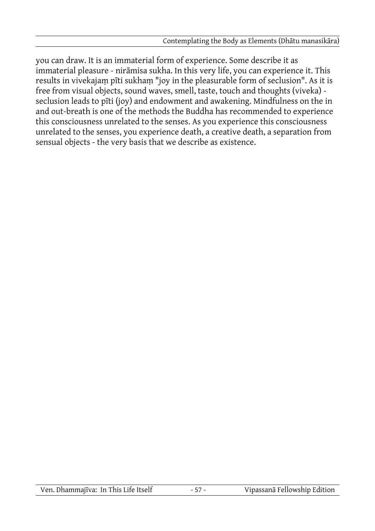you can draw. It is an immaterial form of experience. Some describe it as immaterial pleasure - nirāmisa sukha. In this very life, you can experience it. This results in vivekajaṃ pīti sukhaṃ "joy in the pleasurable form of seclusion". As it is free from visual objects, sound waves, smell, taste, touch and thoughts (viveka) seclusion leads to pīti (joy) and endowment and awakening. Mindfulness on the in and out-breath is one of the methods the Buddha has recommended to experience this consciousness unrelated to the senses. As you experience this consciousness unrelated to the senses, you experience death, a creative death, a separation from sensual objects - the very basis that we describe as existence.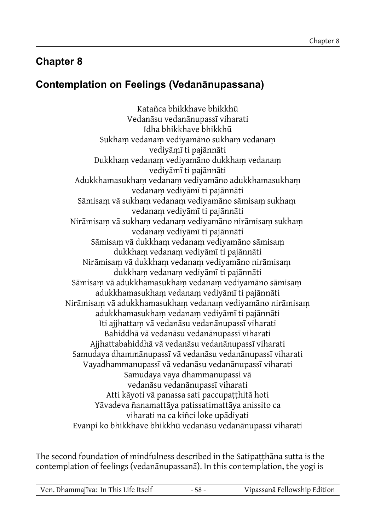## **Chapter 8**

## **Contemplation on Feelings (Vedanānupassana)**

Katañca bhikkhave bhikkhū Vedanāsu vedanānupassī viharati Idha bhikkhave bhikkhū Sukham vedanam vediyamāno sukham vedanam vediyāṃī ti pajānnāti Dukkhaṃ vedanaṃ vediyamāno dukkhaṃ vedanaṃ vediyāmī ti pajānnāti Adukkhamasukhaṃ vedanaṃ vediyamāno adukkhamasukhaṃ vedanaṃ vediyāmī ti pajānnāti Sāmisaṃ vā sukhaṃ vedanaṃ vediyamāno sāmisaṃ sukhaṃ vedanaṃ vediyāmī ti pajānnāti Nirāmisaṃ vā sukhaṃ vedanaṃ vediyamāno nirāmisaṃ sukhaṃ vedanaṃ vediyāmī ti pajānnāti Sāmisaṃ vā dukkhaṃ vedanaṃ vediyamāno sāmisaṃ dukkhaṃ vedanaṃ vediyāmī ti pajānnāti Nirāmisaṃ vā dukkhaṃ vedanaṃ vediyamāno nirāmisaṃ dukkhaṃ vedanaṃ vediyāmī ti pajānnāti Sāmisaṃ vā adukkhamasukhaṃ vedanaṃ vediyamāno sāmisaṃ adukkhamasukhaṃ vedanaṃ vediyāmī ti pajānnāti Nirāmisaṃ vā adukkhamasukhaṃ vedanaṃ vediyamāno nirāmisaṃ adukkhamasukhaṃ vedanaṃ vediyāmī ti pajānnāti Iti ajjhattaṃ vā vedanāsu vedanānupassī viharati Bahiddhā vā vedanāsu vedanānupassī viharati Ajjhattabahiddhā vā vedanāsu vedanānupassī viharati Samudaya dhammānupassī vā vedanāsu vedanānupassī viharati Vayadhammanupassī vā vedanāsu vedanānupassī viharati Samudaya vaya dhammanupassi vā vedanāsu vedanānupassī viharati Atti kāyoti vā panassa sati paccupaṭṭhitā hoti Yāvadeva ñanamattāya patissatimattāya anissito ca viharati na ca kiñci loke upādiyati Evanpi ko bhikkhave bhikkhū vedanāsu vedanānupassī viharati

The second foundation of mindfulness described in the Satipatthana sutta is the contemplation of feelings (vedanānupassanā). In this contemplation, the yogi is

| Ven. Dhammajīva: In This Life Itself | $58 -$ | Vipassanā Fellowship Edition |
|--------------------------------------|--------|------------------------------|
|                                      |        |                              |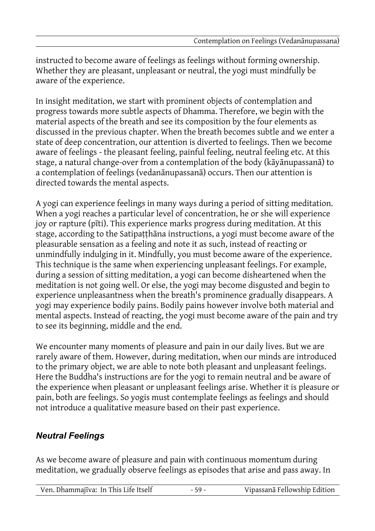instructed to become aware of feelings as feelings without forming ownership. Whether they are pleasant, unpleasant or neutral, the yogi must mindfully be aware of the experience.

In insight meditation, we start with prominent objects of contemplation and progress towards more subtle aspects of Dhamma. Therefore, we begin with the material aspects of the breath and see its composition by the four elements as discussed in the previous chapter. When the breath becomes subtle and we enter a state of deep concentration, our attention is diverted to feelings. Then we become aware of feelings - the pleasant feeling, painful feeling, neutral feeling etc. At this stage, a natural change-over from a contemplation of the body (kāyānupassanā) to a contemplation of feelings (vedanānupassanā) occurs. Then our attention is directed towards the mental aspects.

A yogi can experience feelings in many ways during a period of sitting meditation. When a yogi reaches a particular level of concentration, he or she will experience joy or rapture (pīti). This experience marks progress during meditation. At this stage, according to the Satipaṭṭhāna instructions, a yogi must become aware of the pleasurable sensation as a feeling and note it as such, instead of reacting or unmindfully indulging in it. Mindfully, you must become aware of the experience. This technique is the same when experiencing unpleasant feelings. For example, during a session of sitting meditation, a yogi can become disheartened when the meditation is not going well. Or else, the yogi may become disgusted and begin to experience unpleasantness when the breath's prominence gradually disappears. A yogi may experience bodily pains. Bodily pains however involve both material and mental aspects. Instead of reacting, the yogi must become aware of the pain and try to see its beginning, middle and the end.

We encounter many moments of pleasure and pain in our daily lives. But we are rarely aware of them. However, during meditation, when our minds are introduced to the primary object, we are able to note both pleasant and unpleasant feelings. Here the Buddha's instructions are for the yogi to remain neutral and be aware of the experience when pleasant or unpleasant feelings arise. Whether it is pleasure or pain, both are feelings. So yogis must contemplate feelings as feelings and should not introduce a qualitative measure based on their past experience.

#### *Neutral Feelings*

As we become aware of pleasure and pain with continuous momentum during meditation, we gradually observe feelings as episodes that arise and pass away. In

| Ven. Dhammajīva: In This Life Itself | - 59 - | Vipassanā Fellowship Edition |
|--------------------------------------|--------|------------------------------|
|--------------------------------------|--------|------------------------------|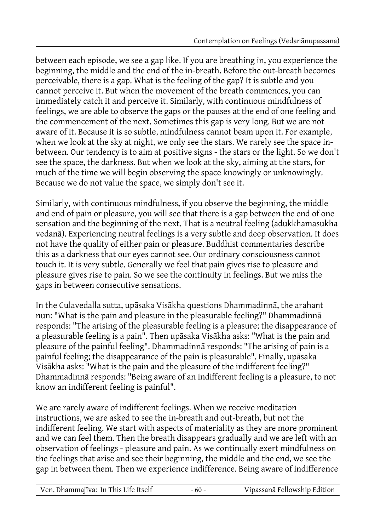between each episode, we see a gap like. If you are breathing in, you experience the beginning, the middle and the end of the in-breath. Before the out-breath becomes perceivable, there is a gap. What is the feeling of the gap? It is subtle and you cannot perceive it. But when the movement of the breath commences, you can immediately catch it and perceive it. Similarly, with continuous mindfulness of feelings, we are able to observe the gaps or the pauses at the end of one feeling and the commencement of the next. Sometimes this gap is very long. But we are not aware of it. Because it is so subtle, mindfulness cannot beam upon it. For example, when we look at the sky at night, we only see the stars. We rarely see the space inbetween. Our tendency is to aim at positive signs - the stars or the light. So we don't see the space, the darkness. But when we look at the sky, aiming at the stars, for much of the time we will begin observing the space knowingly or unknowingly. Because we do not value the space, we simply don't see it.

Similarly, with continuous mindfulness, if you observe the beginning, the middle and end of pain or pleasure, you will see that there is a gap between the end of one sensation and the beginning of the next. That is a neutral feeling (adukkhamasukha vedanā). Experiencing neutral feelings is a very subtle and deep observation. It does not have the quality of either pain or pleasure. Buddhist commentaries describe this as a darkness that our eyes cannot see. Our ordinary consciousness cannot touch it. It is very subtle. Generally we feel that pain gives rise to pleasure and pleasure gives rise to pain. So we see the continuity in feelings. But we miss the gaps in between consecutive sensations.

In the Culavedalla sutta, upāsaka Visākha questions Dhammadinnā, the arahant nun: "What is the pain and pleasure in the pleasurable feeling?" Dhammadinnā responds: "The arising of the pleasurable feeling is a pleasure; the disappearance of a pleasurable feeling is a pain". Then upāsaka Visākha asks: "What is the pain and pleasure of the painful feeling". Dhammadinnā responds: "The arising of pain is a painful feeling; the disappearance of the pain is pleasurable". Finally, upāsaka Visākha asks: "What is the pain and the pleasure of the indifferent feeling?" Dhammadinnā responds: "Being aware of an indifferent feeling is a pleasure, to not know an indifferent feeling is painful".

We are rarely aware of indifferent feelings. When we receive meditation instructions, we are asked to see the in-breath and out-breath, but not the indifferent feeling. We start with aspects of materiality as they are more prominent and we can feel them. Then the breath disappears gradually and we are left with an observation of feelings - pleasure and pain. As we continually exert mindfulness on the feelings that arise and see their beginning, the middle and the end, we see the gap in between them. Then we experience indifference. Being aware of indifference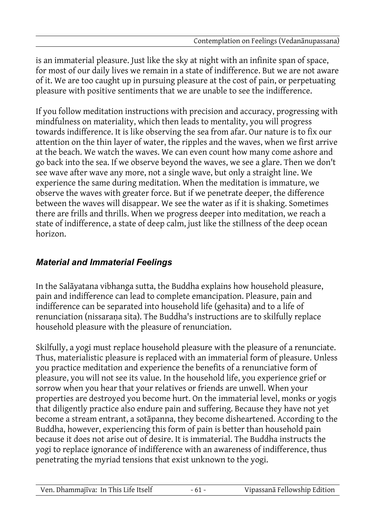is an immaterial pleasure. Just like the sky at night with an infinite span of space, for most of our daily lives we remain in a state of indifference. But we are not aware of it. We are too caught up in pursuing pleasure at the cost of pain, or perpetuating pleasure with positive sentiments that we are unable to see the indifference.

If you follow meditation instructions with precision and accuracy, progressing with mindfulness on materiality, which then leads to mentality, you will progress towards indifference. It is like observing the sea from afar. Our nature is to fix our attention on the thin layer of water, the ripples and the waves, when we first arrive at the beach. We watch the waves. We can even count how many come ashore and go back into the sea. If we observe beyond the waves, we see a glare. Then we don't see wave after wave any more, not a single wave, but only a straight line. We experience the same during meditation. When the meditation is immature, we observe the waves with greater force. But if we penetrate deeper, the difference between the waves will disappear. We see the water as if it is shaking. Sometimes there are frills and thrills. When we progress deeper into meditation, we reach a state of indifference, a state of deep calm, just like the stillness of the deep ocean horizon.

## *Material and Immaterial Feelings*

In the Salāyatana vibhanga sutta, the Buddha explains how household pleasure, pain and indifference can lead to complete emancipation. Pleasure, pain and indifference can be separated into household life (gehasita) and to a life of renunciation (nissarana sita). The Buddha's instructions are to skilfully replace household pleasure with the pleasure of renunciation.

Skilfully, a yogi must replace household pleasure with the pleasure of a renunciate. Thus, materialistic pleasure is replaced with an immaterial form of pleasure. Unless you practice meditation and experience the benefits of a renunciative form of pleasure, you will not see its value. In the household life, you experience grief or sorrow when you hear that your relatives or friends are unwell. When your properties are destroyed you become hurt. On the immaterial level, monks or yogis that diligently practice also endure pain and suffering. Because they have not yet become a stream entrant, a sotāpanna, they become disheartened. According to the Buddha, however, experiencing this form of pain is better than household pain because it does not arise out of desire. It is immaterial. The Buddha instructs the yogi to replace ignorance of indifference with an awareness of indifference, thus penetrating the myriad tensions that exist unknown to the yogi.

| Ven. Dhammajīva: In This Life Itself | Vipassanā Fellowship Edition |
|--------------------------------------|------------------------------|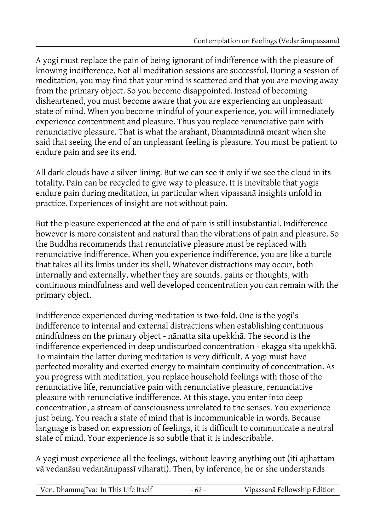A yogi must replace the pain of being ignorant of indifference with the pleasure of knowing indifference. Not all meditation sessions are successful. During a session of meditation, you may find that your mind is scattered and that you are moving away from the primary object. So you become disappointed. Instead of becoming disheartened, you must become aware that you are experiencing an unpleasant state of mind. When you become mindful of your experience, you will immediately experience contentment and pleasure. Thus you replace renunciative pain with renunciative pleasure. That is what the arahant, Dhammadinnā meant when she said that seeing the end of an unpleasant feeling is pleasure. You must be patient to endure pain and see its end.

All dark clouds have a silver lining. But we can see it only if we see the cloud in its totality. Pain can be recycled to give way to pleasure. It is inevitable that yogis endure pain during meditation, in particular when vipassanā insights unfold in practice. Experiences of insight are not without pain.

But the pleasure experienced at the end of pain is still insubstantial. Indifference however is more consistent and natural than the vibrations of pain and pleasure. So the Buddha recommends that renunciative pleasure must be replaced with renunciative indifference. When you experience indifference, you are like a turtle that takes all its limbs under its shell. Whatever distractions may occur, both internally and externally, whether they are sounds, pains or thoughts, with continuous mindfulness and well developed concentration you can remain with the primary object.

Indifference experienced during meditation is two-fold. One is the yogi's indifference to internal and external distractions when establishing continuous mindfulness on the primary object - nānatta sita upekkhā. The second is the indifference experienced in deep undisturbed concentration - ekagga sita upekkhā. To maintain the latter during meditation is very difficult. A yogi must have perfected morality and exerted energy to maintain continuity of concentration. As you progress with meditation, you replace household feelings with those of the renunciative life, renunciative pain with renunciative pleasure, renunciative pleasure with renunciative indifference. At this stage, you enter into deep concentration, a stream of consciousness unrelated to the senses. You experience just being. You reach a state of mind that is incommunicable in words. Because language is based on expression of feelings, it is difficult to communicate a neutral state of mind. Your experience is so subtle that it is indescribable.

A yogi must experience all the feelings, without leaving anything out (iti ajjhattam vā vedanāsu vedanānupassī viharati). Then, by inference, he or she understands

| Ven. Dhammajīva: In This Life Itself | $-62-$ | Vipassanā Fellowship Edition |
|--------------------------------------|--------|------------------------------|
|                                      |        |                              |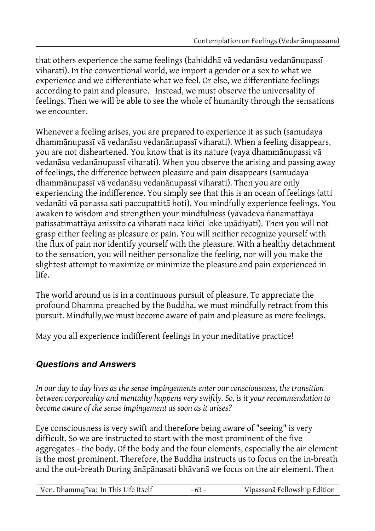that others experience the same feelings (bahiddhā vā vedanāsu vedanānupassī viharati). In the conventional world, we import a gender or a sex to what we experience and we differentiate what we feel. Or else, we differentiate feelings according to pain and pleasure. Instead, we must observe the universality of feelings. Then we will be able to see the whole of humanity through the sensations we encounter.

Whenever a feeling arises, you are prepared to experience it as such (samudaya dhammānupassī vā vedanāsu vedanānupassī viharati). When a feeling disappears, you are not disheartened. You know that is its nature (vaya dhammānupassi vā vedanāsu vedanānupassī viharati). When you observe the arising and passing away of feelings, the difference between pleasure and pain disappears (samudaya dhammānupassī vā vedanāsu vedanānupassī viharati). Then you are only experiencing the indifference. You simply see that this is an ocean of feelings (atti vedanāti vā panassa sati paccupattitā hoti). You mindfully experience feelings. You awaken to wisdom and strengthen your mindfulness (yāvadeva ñanamattāya patissatimattāya anissito ca viharati naca kiñci loke upādiyati). Then you will not grasp either feeling as pleasure or pain. You will neither recognize yourself with the flux of pain nor identify yourself with the pleasure. With a healthy detachment to the sensation, you will neither personalize the feeling, nor will you make the slightest attempt to maximize or minimize the pleasure and pain experienced in life.

The world around us is in a continuous pursuit of pleasure. To appreciate the profound Dhamma preached by the Buddha, we must mindfully retract from this pursuit. Mindfully,we must become aware of pain and pleasure as mere feelings.

May you all experience indifferent feelings in your meditative practice!

## *Questions and Answers*

*In our day to day lives as the sense impingements enter our consciousness, the transition between corporeality and mentality happens very swiftly. So, is it your recommendation to become aware of the sense impingement as soon as it arises?*

Eye consciousness is very swift and therefore being aware of "seeing" is very difficult. So we are instructed to start with the most prominent of the five aggregates - the body. Of the body and the four elements, especially the air element is the most prominent. Therefore, the Buddha instructs us to focus on the in-breath and the out-breath During ānāpānasati bhāvanā we focus on the air element. Then

| Ven. Dhammajīva: In This Life Itself |  | Vipassanā Fellowship Edition |
|--------------------------------------|--|------------------------------|
|--------------------------------------|--|------------------------------|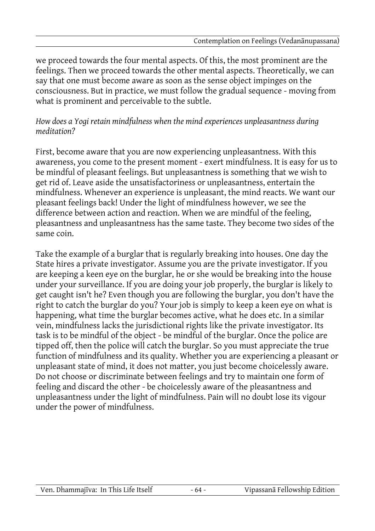we proceed towards the four mental aspects. Of this, the most prominent are the feelings. Then we proceed towards the other mental aspects. Theoretically, we can say that one must become aware as soon as the sense object impinges on the consciousness. But in practice, we must follow the gradual sequence - moving from what is prominent and perceivable to the subtle.

*How does a Yogi retain mindfulness when the mind experiences unpleasantness during meditation?*

First, become aware that you are now experiencing unpleasantness. With this awareness, you come to the present moment - exert mindfulness. It is easy for us to be mindful of pleasant feelings. But unpleasantness is something that we wish to get rid of. Leave aside the unsatisfactoriness or unpleasantness, entertain the mindfulness. Whenever an experience is unpleasant, the mind reacts. We want our pleasant feelings back! Under the light of mindfulness however, we see the difference between action and reaction. When we are mindful of the feeling, pleasantness and unpleasantness has the same taste. They become two sides of the same coin.

Take the example of a burglar that is regularly breaking into houses. One day the State hires a private investigator. Assume you are the private investigator. If you are keeping a keen eye on the burglar, he or she would be breaking into the house under your surveillance. If you are doing your job properly, the burglar is likely to get caught isn't he? Even though you are following the burglar, you don't have the right to catch the burglar do you? Your job is simply to keep a keen eye on what is happening, what time the burglar becomes active, what he does etc. In a similar vein, mindfulness lacks the jurisdictional rights like the private investigator. Its task is to be mindful of the object - be mindful of the burglar. Once the police are tipped off, then the police will catch the burglar. So you must appreciate the true function of mindfulness and its quality. Whether you are experiencing a pleasant or unpleasant state of mind, it does not matter, you just become choicelessly aware. Do not choose or discriminate between feelings and try to maintain one form of feeling and discard the other - be choicelessly aware of the pleasantness and unpleasantness under the light of mindfulness. Pain will no doubt lose its vigour under the power of mindfulness.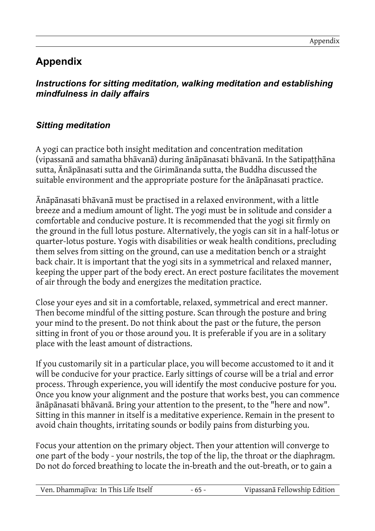# **Appendix**

#### *Instructions for sitting meditation, walking meditation and establishing mindfulness in daily affairs*

## *Sitting meditation*

A yogi can practice both insight meditation and concentration meditation (vipassanā and samatha bhāvanā) during ānāpānasati bhāvanā. In the Satipaṭṭhāna sutta, Ānāpānasati sutta and the Girimānanda sutta, the Buddha discussed the suitable environment and the appropriate posture for the ānāpānasati practice.

Ānāpānasati bhāvanā must be practised in a relaxed environment, with a little breeze and a medium amount of light. The yogi must be in solitude and consider a comfortable and conducive posture. It is recommended that the yogi sit firmly on the ground in the full lotus posture. Alternatively, the yogis can sit in a half-lotus or quarter-lotus posture. Yogis with disabilities or weak health conditions, precluding them selves from sitting on the ground, can use a meditation bench or a straight back chair. It is important that the yogi sits in a symmetrical and relaxed manner, keeping the upper part of the body erect. An erect posture facilitates the movement of air through the body and energizes the meditation practice.

Close your eyes and sit in a comfortable, relaxed, symmetrical and erect manner. Then become mindful of the sitting posture. Scan through the posture and bring your mind to the present. Do not think about the past or the future, the person sitting in front of you or those around you. It is preferable if you are in a solitary place with the least amount of distractions.

If you customarily sit in a particular place, you will become accustomed to it and it will be conducive for your practice. Early sittings of course will be a trial and error process. Through experience, you will identify the most conducive posture for you. Once you know your alignment and the posture that works best, you can commence ānāpānasati bhāvanā. Bring your attention to the present, to the "here and now". Sitting in this manner in itself is a meditative experience. Remain in the present to avoid chain thoughts, irritating sounds or bodily pains from disturbing you.

Focus your attention on the primary object. Then your attention will converge to one part of the body - your nostrils, the top of the lip, the throat or the diaphragm. Do not do forced breathing to locate the in-breath and the out-breath, or to gain a

| Ven. Dhammajīva: In This Life Itself |  | Vipassanā Fellowship Edition |
|--------------------------------------|--|------------------------------|
|--------------------------------------|--|------------------------------|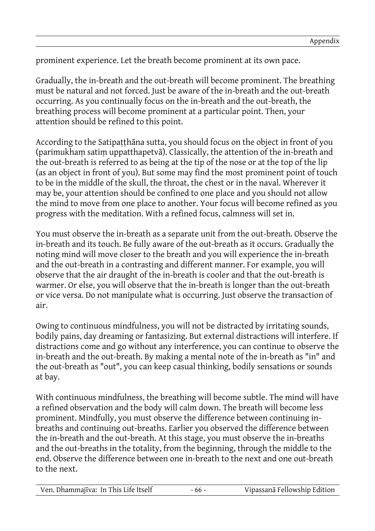prominent experience. Let the breath become prominent at its own pace.

Gradually, the in-breath and the out-breath will become prominent. The breathing must be natural and not forced. Just be aware of the in-breath and the out-breath occurring. As you continually focus on the in-breath and the out-breath, the breathing process will become prominent at a particular point. Then, your attention should be refined to this point.

According to the Satipatthana sutta, you should focus on the object in front of you (parimukhaṃ satiṃ uppatthapetvā). Classically, the attention of the in-breath and the out-breath is referred to as being at the tip of the nose or at the top of the lip (as an object in front of you). But some may find the most prominent point of touch to be in the middle of the skull, the throat, the chest or in the naval. Wherever it may be, your attention should be confined to one place and you should not allow the mind to move from one place to another. Your focus will become refined as you progress with the meditation. With a refined focus, calmness will set in.

You must observe the in-breath as a separate unit from the out-breath. Observe the in-breath and its touch. Be fully aware of the out-breath as it occurs. Gradually the noting mind will move closer to the breath and you will experience the in-breath and the out-breath in a contrasting and different manner. For example, you will observe that the air draught of the in-breath is cooler and that the out-breath is warmer. Or else, you will observe that the in-breath is longer than the out-breath or vice versa. Do not manipulate what is occurring. Just observe the transaction of air.

Owing to continuous mindfulness, you will not be distracted by irritating sounds, bodily pains, day dreaming or fantasizing. But external distractions will interfere. If distractions come and go without any interference, you can continue to observe the in-breath and the out-breath. By making a mental note of the in-breath as "in" and the out-breath as "out", you can keep casual thinking, bodily sensations or sounds at bay.

With continuous mindfulness, the breathing will become subtle. The mind will have a refined observation and the body will calm down. The breath will become less prominent. Mindfully, you must observe the difference between continuing inbreaths and continuing out-breaths. Earlier you observed the difference between the in-breath and the out-breath. At this stage, you must observe the in-breaths and the out-breaths in the totality, from the beginning, through the middle to the end. Observe the difference between one in-breath to the next and one out-breath to the next.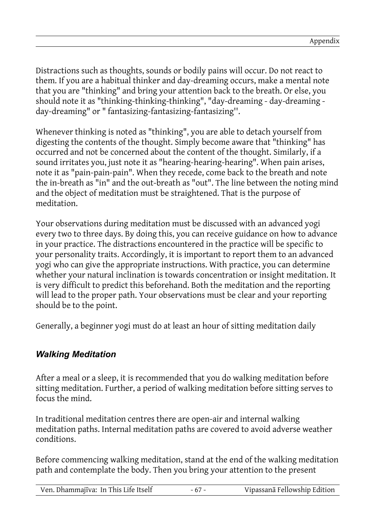Distractions such as thoughts, sounds or bodily pains will occur. Do not react to them. If you are a habitual thinker and day-dreaming occurs, make a mental note that you are "thinking" and bring your attention back to the breath. Or else, you should note it as "thinking-thinking-thinking", "day-dreaming - day-dreaming day-dreaming" or " fantasizing-fantasizing-fantasizing''.

Whenever thinking is noted as "thinking", you are able to detach yourself from digesting the contents of the thought. Simply become aware that "thinking" has occurred and not be concerned about the content of the thought. Similarly, if a sound irritates you, just note it as "hearing-hearing-hearing". When pain arises, note it as "pain-pain-pain". When they recede, come back to the breath and note the in-breath as "in" and the out-breath as "out". The line between the noting mind and the object of meditation must be straightened. That is the purpose of meditation.

Your observations during meditation must be discussed with an advanced yogi every two to three days. By doing this, you can receive guidance on how to advance in your practice. The distractions encountered in the practice will be specific to your personality traits. Accordingly, it is important to report them to an advanced yogi who can give the appropriate instructions. With practice, you can determine whether your natural inclination is towards concentration or insight meditation. It is very difficult to predict this beforehand. Both the meditation and the reporting will lead to the proper path. Your observations must be clear and your reporting should be to the point.

Generally, a beginner yogi must do at least an hour of sitting meditation daily

#### *Walking Meditation*

After a meal or a sleep, it is recommended that you do walking meditation before sitting meditation. Further, a period of walking meditation before sitting serves to focus the mind.

In traditional meditation centres there are open-air and internal walking meditation paths. Internal meditation paths are covered to avoid adverse weather conditions.

Before commencing walking meditation, stand at the end of the walking meditation path and contemplate the body. Then you bring your attention to the present

| Ven. Dhammajīva: In This Life Itself | $-67-$ | Vipassanā Fellowship Edition |
|--------------------------------------|--------|------------------------------|
|--------------------------------------|--------|------------------------------|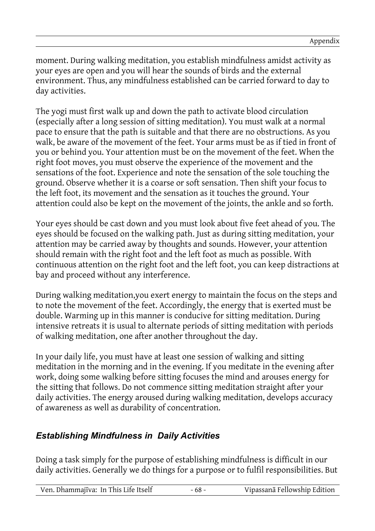moment. During walking meditation, you establish mindfulness amidst activity as your eyes are open and you will hear the sounds of birds and the external environment. Thus, any mindfulness established can be carried forward to day to day activities.

The yogi must first walk up and down the path to activate blood circulation (especially after a long session of sitting meditation). You must walk at a normal pace to ensure that the path is suitable and that there are no obstructions. As you walk, be aware of the movement of the feet. Your arms must be as if tied in front of you or behind you. Your attention must be on the movement of the feet. When the right foot moves, you must observe the experience of the movement and the sensations of the foot. Experience and note the sensation of the sole touching the ground. Observe whether it is a coarse or soft sensation. Then shift your focus to the left foot, its movement and the sensation as it touches the ground. Your attention could also be kept on the movement of the joints, the ankle and so forth.

Your eyes should be cast down and you must look about five feet ahead of you. The eyes should be focused on the walking path. Just as during sitting meditation, your attention may be carried away by thoughts and sounds. However, your attention should remain with the right foot and the left foot as much as possible. With continuous attention on the right foot and the left foot, you can keep distractions at bay and proceed without any interference.

During walking meditation,you exert energy to maintain the focus on the steps and to note the movement of the feet. Accordingly, the energy that is exerted must be double. Warming up in this manner is conducive for sitting meditation. During intensive retreats it is usual to alternate periods of sitting meditation with periods of walking meditation, one after another throughout the day.

In your daily life, you must have at least one session of walking and sitting meditation in the morning and in the evening. If you meditate in the evening after work, doing some walking before sitting focuses the mind and arouses energy for the sitting that follows. Do not commence sitting meditation straight after your daily activities. The energy aroused during walking meditation, develops accuracy of awareness as well as durability of concentration.

#### *Establishing Mindfulness in Daily Activities*

Doing a task simply for the purpose of establishing mindfulness is difficult in our daily activities. Generally we do things for a purpose or to fulfil responsibilities. But

| Vipassanā Fellowship Edition<br>Ven. Dhammajīva: In This Life Itself<br>$-68-$ |
|--------------------------------------------------------------------------------|
|--------------------------------------------------------------------------------|